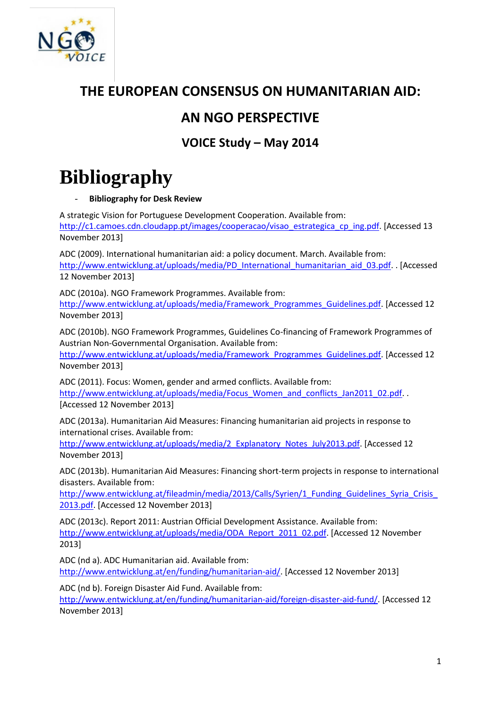

## **THE EUROPEAN CONSENSUS ON HUMANITARIAN AID:**

## **AN NGO PERSPECTIVE**

**VOICE Study – May 2014**

## **Bibliography**

## - **Bibliography for Desk Review**

A strategic Vision for Portuguese Development Cooperation. Available from: [http://c1.camoes.cdn.cloudapp.pt/images/cooperacao/visao\\_estrategica\\_cp\\_ing.pdf.](http://c1.camoes.cdn.cloudapp.pt/images/cooperacao/visao_estrategica_cp_ing.pdf) [Accessed 13 November 2013]

ADC (2009). International humanitarian aid: a policy document. March. Available from: [http://www.entwicklung.at/uploads/media/PD\\_International\\_humanitarian\\_aid\\_03.pdf.](http://www.entwicklung.at/uploads/media/PD_International_humanitarian_aid_03.pdf) . [Accessed 12 November 2013]

ADC (2010a). NGO Framework Programmes. Available from: [http://www.entwicklung.at/uploads/media/Framework\\_Programmes\\_Guidelines.pdf.](http://www.entwicklung.at/uploads/media/Framework_Programmes_Guidelines.pdf) [Accessed 12 November 2013]

ADC (2010b). NGO Framework Programmes, Guidelines Co-financing of Framework Programmes of Austrian Non-Governmental Organisation. Available from:

[http://www.entwicklung.at/uploads/media/Framework\\_Programmes\\_Guidelines.pdf.](http://www.entwicklung.at/uploads/media/Framework_Programmes_Guidelines.pdf) [Accessed 12 November 2013]

ADC (2011). Focus: Women, gender and armed conflicts. Available from: [http://www.entwicklung.at/uploads/media/Focus\\_Women\\_and\\_conflicts\\_Jan2011\\_02.pdf.](http://www.entwicklung.at/uploads/media/Focus_Women_and_conflicts_Jan2011_02.pdf) . [Accessed 12 November 2013]

ADC (2013a). Humanitarian Aid Measures: Financing humanitarian aid projects in response to international crises. Available from:

[http://www.entwicklung.at/uploads/media/2\\_Explanatory\\_Notes\\_July2013.pdf.](http://www.entwicklung.at/uploads/media/2_Explanatory_Notes_July2013.pdf) [Accessed 12 November 2013]

ADC (2013b). Humanitarian Aid Measures: Financing short-term projects in response to international disasters. Available from:

http://www.entwicklung.at/fileadmin/media/2013/Calls/Syrien/1\_Funding\_Guidelines\_Syria\_Crisis [2013.pdf.](http://www.entwicklung.at/fileadmin/media/2013/Calls/Syrien/1_Funding_Guidelines_Syria_Crisis_2013.pdf) [Accessed 12 November 2013]

ADC (2013c). Report 2011: Austrian Official Development Assistance. Available from: [http://www.entwicklung.at/uploads/media/ODA\\_Report\\_2011\\_02.pdf.](http://www.entwicklung.at/uploads/media/ODA_Report_2011_02.pdf) [Accessed 12 November 2013]

ADC (nd a). ADC Humanitarian aid. Available from: [http://www.entwicklung.at/en/funding/humanitarian-aid/.](http://www.entwicklung.at/en/funding/humanitarian-aid/) [Accessed 12 November 2013]

ADC (nd b). Foreign Disaster Aid Fund. Available from:

[http://www.entwicklung.at/en/funding/humanitarian-aid/foreign-disaster-aid-fund/.](http://www.entwicklung.at/en/funding/humanitarian-aid/foreign-disaster-aid-fund/) [Accessed 12 November 2013]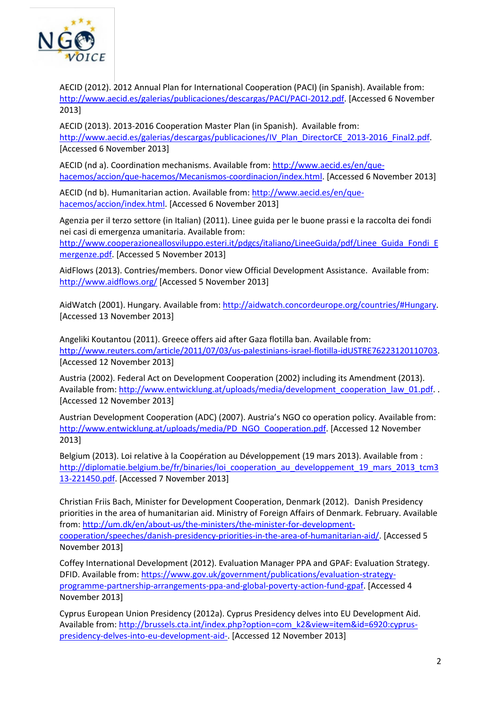

AECID (2012). 2012 Annual Plan for International Cooperation (PACI) (in Spanish). Available from: [http://www.aecid.es/galerias/publicaciones/descargas/PACI/PACI-2012.pdf.](http://www.aecid.es/galerias/publicaciones/descargas/PACI/PACI-2012.pdf) [Accessed 6 November 2013]

AECID (2013). 2013-2016 Cooperation Master Plan (in Spanish). Available from: [http://www.aecid.es/galerias/descargas/publicaciones/IV\\_Plan\\_DirectorCE\\_2013-2016\\_Final2.pdf.](http://www.aecid.es/galerias/descargas/publicaciones/IV_Plan_DirectorCE_2013-2016_Final2.pdf) [Accessed 6 November 2013]

AECID (nd a). Coordination mechanisms. Available from: [http://www.aecid.es/en/que](http://www.aecid.es/en/que-hacemos/accion/que-hacemos/Mecanismos-coordinacion/index.html)[hacemos/accion/que-hacemos/Mecanismos-coordinacion/index.html.](http://www.aecid.es/en/que-hacemos/accion/que-hacemos/Mecanismos-coordinacion/index.html) [Accessed 6 November 2013]

AECID (nd b). Humanitarian action. Available from: [http://www.aecid.es/en/que](http://www.aecid.es/en/que-hacemos/accion/index.html)[hacemos/accion/index.html.](http://www.aecid.es/en/que-hacemos/accion/index.html) [Accessed 6 November 2013]

Agenzia per il terzo settore (in Italian) (2011). Linee guida per le buone prassi e la raccolta dei fondi nei casi di emergenza umanitaria. Available from:

[http://www.cooperazioneallosviluppo.esteri.it/pdgcs/italiano/LineeGuida/pdf/Linee\\_Guida\\_Fondi\\_E](http://www.cooperazioneallosviluppo.esteri.it/pdgcs/italiano/LineeGuida/pdf/Linee_Guida_Fondi_Emergenze.pdf) [mergenze.pdf.](http://www.cooperazioneallosviluppo.esteri.it/pdgcs/italiano/LineeGuida/pdf/Linee_Guida_Fondi_Emergenze.pdf) [Accessed 5 November 2013]

AidFlows (2013). Contries/members. Donor view Official Development Assistance. Available from: <http://www.aidflows.org/> [Accessed 5 November 2013]

AidWatch (2001). Hungary. Available from[: http://aidwatch.concordeurope.org/countries/#Hungary.](http://aidwatch.concordeurope.org/countries/#Hungary) [Accessed 13 November 2013]

Angeliki Koutantou (2011). Greece offers aid after Gaza flotilla ban. Available from: [http://www.reuters.com/article/2011/07/03/us-palestinians-israel-flotilla-idUSTRE76223120110703.](http://www.reuters.com/article/2011/07/03/us-palestinians-israel-flotilla-idUSTRE76223120110703) [Accessed 12 November 2013]

Austria (2002). Federal Act on Development Cooperation (2002) including its Amendment (2013). Available from: [http://www.entwicklung.at/uploads/media/development\\_cooperation\\_law\\_01.pdf.](http://www.entwicklung.at/uploads/media/development_cooperation_law_01.pdf) . [Accessed 12 November 2013]

Austrian Development Cooperation (ADC) (2007). Austria's NGO co operation policy. Available from: [http://www.entwicklung.at/uploads/media/PD\\_NGO\\_Cooperation.pdf.](http://www.entwicklung.at/uploads/media/PD_NGO_Cooperation.pdf) [Accessed 12 November 2013]

Belgium (2013). Loi relative à la Coopération au Développement (19 mars 2013). Available from : http://diplomatie.belgium.be/fr/binaries/loi cooperation au developpement 19 mars 2013 tcm3 [13-221450.pdf.](http://diplomatie.belgium.be/fr/binaries/loi_cooperation_au_developpement_19_mars_2013_tcm313-221450.pdf) [Accessed 7 November 2013]

Christian Friis Bach, Minister for Development Cooperation, Denmark (2012). Danish Presidency priorities in the area of humanitarian aid. Ministry of Foreign Affairs of Denmark. February. Available from: [http://um.dk/en/about-us/the-ministers/the-minister-for-development](http://um.dk/en/about-us/the-ministers/the-minister-for-development-cooperation/speeches/danish-presidency-priorities-in-the-area-of-humanitarian-aid/)[cooperation/speeches/danish-presidency-priorities-in-the-area-of-humanitarian-aid/.](http://um.dk/en/about-us/the-ministers/the-minister-for-development-cooperation/speeches/danish-presidency-priorities-in-the-area-of-humanitarian-aid/) [Accessed 5 November 2013]

Coffey International Development (2012). Evaluation Manager PPA and GPAF: Evaluation Strategy. DFID. Available from: [https://www.gov.uk/government/publications/evaluation-strategy](https://www.gov.uk/government/publications/evaluation-strategy-programme-partnership-arrangements-ppa-and-global-poverty-action-fund-gpaf)[programme-partnership-arrangements-ppa-and-global-poverty-action-fund-gpaf.](https://www.gov.uk/government/publications/evaluation-strategy-programme-partnership-arrangements-ppa-and-global-poverty-action-fund-gpaf) [Accessed 4 November 2013]

Cyprus European Union Presidency (2012a). Cyprus Presidency delves into EU Development Aid. Available from: [http://brussels.cta.int/index.php?option=com\\_k2&view=item&id=6920:cyprus](http://brussels.cta.int/index.php?option=com_k2&view=item&id=6920:cyprus-presidency-delves-into-eu-development-aid-)[presidency-delves-into-eu-development-aid-.](http://brussels.cta.int/index.php?option=com_k2&view=item&id=6920:cyprus-presidency-delves-into-eu-development-aid-) [Accessed 12 November 2013]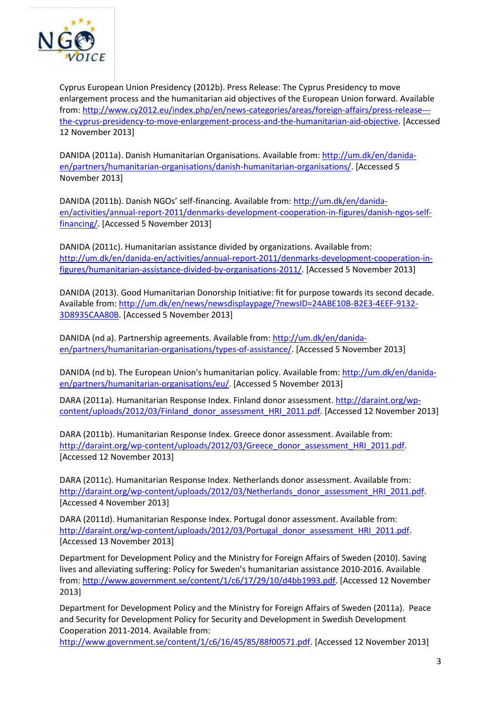

Cyprus European Union Presidency (2012b). Press Release: The Cyprus Presidency to move enlargement process and the humanitarian aid objectives of the European Union forward. Available from: [http://www.cy2012.eu/index.php/en/news-categories/areas/foreign-affairs/press-release--](http://www.cy2012.eu/index.php/en/news-categories/areas/foreign-affairs/press-release---the-cyprus-presidency-to-move-enlargement-process-and-the-humanitarian-aid-objective) [the-cyprus-presidency-to-move-enlargement-process-and-the-humanitarian-aid-objective.](http://www.cy2012.eu/index.php/en/news-categories/areas/foreign-affairs/press-release---the-cyprus-presidency-to-move-enlargement-process-and-the-humanitarian-aid-objective) [Accessed 12 November 2013]

DANIDA (2011a). Danish Humanitarian Organisations. Available from: [http://um.dk/en/danida](http://um.dk/en/danida-en/partners/humanitarian-organisations/danish-humanitarian-organisations/)[en/partners/humanitarian-organisations/danish-humanitarian-organisations/.](http://um.dk/en/danida-en/partners/humanitarian-organisations/danish-humanitarian-organisations/) [Accessed 5 November 2013]

DANIDA (2011b). Danish NGOs' self-financing. Available from: [http://um.dk/en/danida](http://um.dk/en/danida-en/activities/annual-report-2011/denmarks-development-cooperation-in-figures/danish-ngos-self-financing/)[en/activities/annual-report-2011/denmarks-development-cooperation-in-figures/danish-ngos-self](http://um.dk/en/danida-en/activities/annual-report-2011/denmarks-development-cooperation-in-figures/danish-ngos-self-financing/)[financing/.](http://um.dk/en/danida-en/activities/annual-report-2011/denmarks-development-cooperation-in-figures/danish-ngos-self-financing/) [Accessed 5 November 2013]

DANIDA (2011c). Humanitarian assistance divided by organizations. Available from: [http://um.dk/en/danida-en/activities/annual-report-2011/denmarks-development-cooperation-in](http://um.dk/en/danida-en/activities/annual-report-2011/denmarks-development-cooperation-in-figures/humanitarian-assistance-divided-by-organisations-2011/)[figures/humanitarian-assistance-divided-by-organisations-2011/.](http://um.dk/en/danida-en/activities/annual-report-2011/denmarks-development-cooperation-in-figures/humanitarian-assistance-divided-by-organisations-2011/) [Accessed 5 November 2013]

DANIDA (2013). Good Humanitarian Donorship Initiative: fit for purpose towards its second decade. Available from: [http://um.dk/en/news/newsdisplaypage/?newsID=24ABE10B-B2E3-4EEF-9132-](http://um.dk/en/news/newsdisplaypage/?newsID=24ABE10B-B2E3-4EEF-9132-3D8935CAA80B) [3D8935CAA80B.](http://um.dk/en/news/newsdisplaypage/?newsID=24ABE10B-B2E3-4EEF-9132-3D8935CAA80B) [Accessed 5 November 2013]

DANIDA (nd a). Partnership agreements. Available from: [http://um.dk/en/danida](http://um.dk/en/danida-en/partners/humanitarian-organisations/types-of-assistance/)[en/partners/humanitarian-organisations/types-of-assistance/.](http://um.dk/en/danida-en/partners/humanitarian-organisations/types-of-assistance/) [Accessed 5 November 2013]

DANIDA (nd b). The European Union's humanitarian policy. Available from[: http://um.dk/en/danida](http://um.dk/en/danida-en/partners/humanitarian-organisations/eu/)[en/partners/humanitarian-organisations/eu/.](http://um.dk/en/danida-en/partners/humanitarian-organisations/eu/) [Accessed 5 November 2013]

DARA (2011a). Humanitarian Response Index. Finland donor assessment. [http://daraint.org/wp](http://daraint.org/wp-content/uploads/2012/03/Finland_donor_assessment_HRI_2011.pdf)[content/uploads/2012/03/Finland\\_donor\\_assessment\\_HRI\\_2011.pdf.](http://daraint.org/wp-content/uploads/2012/03/Finland_donor_assessment_HRI_2011.pdf) [Accessed 12 November 2013]

DARA (2011b). Humanitarian Response Index. Greece donor assessment. Available from: [http://daraint.org/wp-content/uploads/2012/03/Greece\\_donor\\_assessment\\_HRI\\_2011.pdf.](http://daraint.org/wp-content/uploads/2012/03/Greece_donor_assessment_HRI_2011.pdf) [Accessed 12 November 2013]

DARA (2011c). Humanitarian Response Index. Netherlands donor assessment. Available from: [http://daraint.org/wp-content/uploads/2012/03/Netherlands\\_donor\\_assessment\\_HRI\\_2011.pdf.](http://daraint.org/wp-content/uploads/2012/03/Netherlands_donor_assessment_HRI_2011.pdf) [Accessed 4 November 2013]

DARA (2011d). Humanitarian Response Index. Portugal donor assessment. Available from: [http://daraint.org/wp-content/uploads/2012/03/Portugal\\_donor\\_assessment\\_HRI\\_2011.pdf.](http://daraint.org/wp-content/uploads/2012/03/Portugal_donor_assessment_HRI_2011.pdf) [Accessed 13 November 2013]

Department for Development Policy and the Ministry for Foreign Affairs of Sweden (2010). Saving lives and alleviating suffering: Policy for Sweden's humanitarian assistance 2010-2016. Available from: [http://www.government.se/content/1/c6/17/29/10/d4bb1993.pdf.](http://www.government.se/content/1/c6/17/29/10/d4bb1993.pdf) [Accessed 12 November 2013]

Department for Development Policy and the Ministry for Foreign Affairs of Sweden (2011a). Peace and Security for Development Policy for Security and Development in Swedish Development Cooperation 2011-2014. Available from:

[http://www.government.se/content/1/c6/16/45/85/88f00571.pdf.](http://www.government.se/content/1/c6/16/45/85/88f00571.pdf) [Accessed 12 November 2013]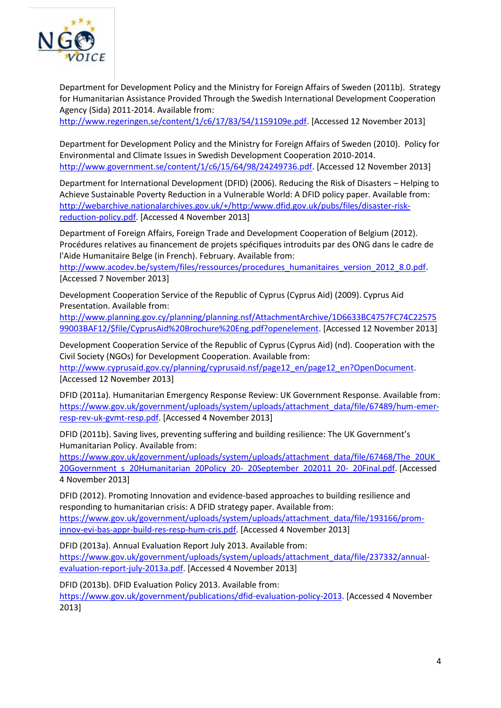

Department for Development Policy and the Ministry for Foreign Affairs of Sweden (2011b). Strategy for Humanitarian Assistance Provided Through the Swedish International Development Cooperation Agency (Sida) 2011-2014. Available from:

[http://www.regeringen.se/content/1/c6/17/83/54/1159109e.pdf.](http://www.regeringen.se/content/1/c6/17/83/54/1159109e.pdf) [Accessed 12 November 2013]

Department for Development Policy and the Ministry for Foreign Affairs of Sweden (2010). Policy for Environmental and Climate Issues in Swedish Development Cooperation 2010-2014. [http://www.government.se/content/1/c6/15/64/98/24249736.pdf.](http://www.government.se/content/1/c6/15/64/98/24249736.pdf) [Accessed 12 November 2013]

Department for International Development (DFID) (2006). Reducing the Risk of Disasters – Helping to Achieve Sustainable Poverty Reduction in a Vulnerable World: A DFID policy paper. Available from: [http://webarchive.nationalarchives.gov.uk/+/http:/www.dfid.gov.uk/pubs/files/disaster-risk](http://webarchive.nationalarchives.gov.uk/+/http:/www.dfid.gov.uk/pubs/files/disaster-risk-reduction-policy.pdf)[reduction-policy.pdf.](http://webarchive.nationalarchives.gov.uk/+/http:/www.dfid.gov.uk/pubs/files/disaster-risk-reduction-policy.pdf) [Accessed 4 November 2013]

Department of Foreign Affairs, Foreign Trade and Development Cooperation of Belgium (2012). Procédures relatives au financement de projets spécifiques introduits par des ONG dans le cadre de l'Aide Humanitaire Belge (in French). February. Available from:

[http://www.acodev.be/system/files/ressources/procedures\\_humanitaires\\_version\\_2012\\_8.0.pdf.](http://www.acodev.be/system/files/ressources/procedures_humanitaires_version_2012_8.0.pdf) [Accessed 7 November 2013]

Development Cooperation Service of the Republic of Cyprus (Cyprus Aid) (2009). Cyprus Aid Presentation. Available from:

[http://www.planning.gov.cy/planning/planning.nsf/AttachmentArchive/1D6633BC4757FC74C22575](http://www.planning.gov.cy/planning/planning.nsf/AttachmentArchive/1D6633BC4757FC74C2257599003BAF12/$file/CyprusAid%20Brochure%20Eng.pdf?openelement) [99003BAF12/\\$file/CyprusAid%20Brochure%20Eng.pdf?openelement.](http://www.planning.gov.cy/planning/planning.nsf/AttachmentArchive/1D6633BC4757FC74C2257599003BAF12/$file/CyprusAid%20Brochure%20Eng.pdf?openelement) [Accessed 12 November 2013]

Development Cooperation Service of the Republic of Cyprus (Cyprus Aid) (nd). Cooperation with the Civil Society (NGOs) for Development Cooperation. Available from:

[http://www.cyprusaid.gov.cy/planning/cyprusaid.nsf/page12\\_en/page12\\_en?OpenDocument.](http://www.cyprusaid.gov.cy/planning/cyprusaid.nsf/page12_en/page12_en?OpenDocument) [Accessed 12 November 2013]

DFID (2011a). Humanitarian Emergency Response Review: UK Government Response. Available from: [https://www.gov.uk/government/uploads/system/uploads/attachment\\_data/file/67489/hum-emer](https://www.gov.uk/government/uploads/system/uploads/attachment_data/file/67489/hum-emer-resp-rev-uk-gvmt-resp.pdf)[resp-rev-uk-gvmt-resp.pdf.](https://www.gov.uk/government/uploads/system/uploads/attachment_data/file/67489/hum-emer-resp-rev-uk-gvmt-resp.pdf) [Accessed 4 November 2013]

DFID (2011b). Saving lives, preventing suffering and building resilience: The UK Government's Humanitarian Policy. Available from:

[https://www.gov.uk/government/uploads/system/uploads/attachment\\_data/file/67468/The\\_20UK\\_](https://www.gov.uk/government/uploads/system/uploads/attachment_data/file/67468/The_20UK_20Government_s_20Humanitarian_20Policy_20-_20September_202011_20-_20Final.pdf) 20Government s 20Humanitarian 20Policy 20- 20September 202011 20- 20Final.pdf. [Accessed 4 November 2013]

DFID (2012). Promoting Innovation and evidence-based approaches to building resilience and responding to humanitarian crisis: A DFID strategy paper. Available from: [https://www.gov.uk/government/uploads/system/uploads/attachment\\_data/file/193166/prom](https://www.gov.uk/government/uploads/system/uploads/attachment_data/file/193166/prom-innov-evi-bas-appr-build-res-resp-hum-cris.pdf)[innov-evi-bas-appr-build-res-resp-hum-cris.pdf.](https://www.gov.uk/government/uploads/system/uploads/attachment_data/file/193166/prom-innov-evi-bas-appr-build-res-resp-hum-cris.pdf) [Accessed 4 November 2013]

DFID (2013a). Annual Evaluation Report July 2013. Available from: [https://www.gov.uk/government/uploads/system/uploads/attachment\\_data/file/237332/annual](https://www.gov.uk/government/uploads/system/uploads/attachment_data/file/237332/annual-evaluation-report-july-2013a.pdf)[evaluation-report-july-2013a.pdf.](https://www.gov.uk/government/uploads/system/uploads/attachment_data/file/237332/annual-evaluation-report-july-2013a.pdf) [Accessed 4 November 2013]

DFID (2013b). DFID Evaluation Policy 2013. Available from:

[https://www.gov.uk/government/publications/dfid-evaluation-policy-2013.](https://www.gov.uk/government/publications/dfid-evaluation-policy-2013) [Accessed 4 November 2013]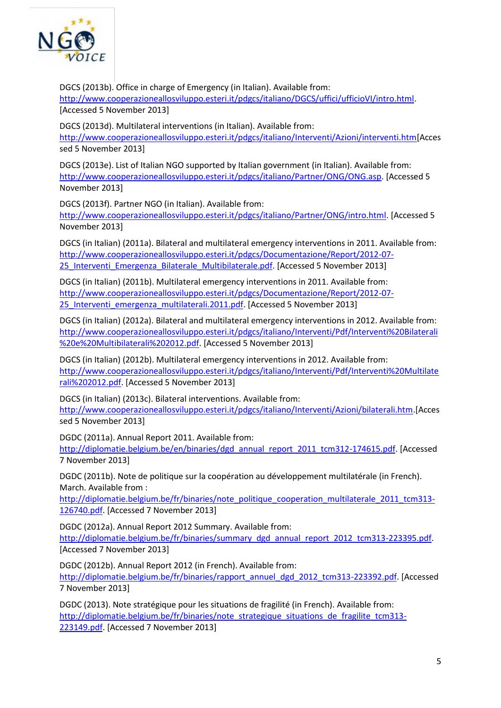

DGCS (2013b). Office in charge of Emergency (in Italian). Available from: [http://www.cooperazioneallosviluppo.esteri.it/pdgcs/italiano/DGCS/uffici/ufficioVI/intro.html.](http://www.cooperazioneallosviluppo.esteri.it/pdgcs/italiano/DGCS/uffici/ufficioVI/intro.html) [Accessed 5 November 2013]

DGCS (2013d). Multilateral interventions (in Italian). Available from: [http://www.cooperazioneallosviluppo.esteri.it/pdgcs/italiano/Interventi/Azioni/interventi.htm\[](http://www.cooperazioneallosviluppo.esteri.it/pdgcs/italiano/Interventi/Azioni/interventi.htm)Acces sed 5 November 2013]

DGCS (2013e). List of Italian NGO supported by Italian government (in Italian). Available from: [http://www.cooperazioneallosviluppo.esteri.it/pdgcs/italiano/Partner/ONG/ONG.asp.](http://www.cooperazioneallosviluppo.esteri.it/pdgcs/italiano/Partner/ONG/ONG.asp) [Accessed 5 November 2013]

DGCS (2013f). Partner NGO (in Italian). Available from:

[http://www.cooperazioneallosviluppo.esteri.it/pdgcs/italiano/Partner/ONG/intro.html.](http://www.cooperazioneallosviluppo.esteri.it/pdgcs/italiano/Partner/ONG/intro.html) [Accessed 5 November 2013]

DGCS (in Italian) (2011a). Bilateral and multilateral emergency interventions in 2011. Available from: [http://www.cooperazioneallosviluppo.esteri.it/pdgcs/Documentazione/Report/2012-07-](http://www.cooperazioneallosviluppo.esteri.it/pdgcs/Documentazione/Report/2012-07-25_Interventi_Emergenza_Bilaterale_Multibilaterale.pdf) 25 Interventi Emergenza Bilaterale Multibilaterale.pdf. [Accessed 5 November 2013]

DGCS (in Italian) (2011b). Multilateral emergency interventions in 2011. Available from: [http://www.cooperazioneallosviluppo.esteri.it/pdgcs/Documentazione/Report/2012-07-](http://www.cooperazioneallosviluppo.esteri.it/pdgcs/Documentazione/Report/2012-07-25_Interventi_emergenza_multilaterali.2011.pdf) 25 Interventi emergenza multilaterali.2011.pdf. [Accessed 5 November 2013]

DGCS (in Italian) (2012a). Bilateral and multilateral emergency interventions in 2012. Available from: [http://www.cooperazioneallosviluppo.esteri.it/pdgcs/italiano/Interventi/Pdf/Interventi%20Bilaterali](http://www.cooperazioneallosviluppo.esteri.it/pdgcs/italiano/Interventi/Pdf/Interventi%20Bilaterali%20e%20Multibilaterali%202012.pdf) [%20e%20Multibilaterali%202012.pdf.](http://www.cooperazioneallosviluppo.esteri.it/pdgcs/italiano/Interventi/Pdf/Interventi%20Bilaterali%20e%20Multibilaterali%202012.pdf) [Accessed 5 November 2013]

DGCS (in Italian) (2012b). Multilateral emergency interventions in 2012. Available from: [http://www.cooperazioneallosviluppo.esteri.it/pdgcs/italiano/Interventi/Pdf/Interventi%20Multilate](http://www.cooperazioneallosviluppo.esteri.it/pdgcs/italiano/Interventi/Pdf/Interventi%20Multilaterali%202012.pdf) [rali%202012.pdf.](http://www.cooperazioneallosviluppo.esteri.it/pdgcs/italiano/Interventi/Pdf/Interventi%20Multilaterali%202012.pdf) [Accessed 5 November 2013]

DGCS (in Italian) (2013c). Bilateral interventions. Available from: [http://www.cooperazioneallosviluppo.esteri.it/pdgcs/italiano/Interventi/Azioni/bilaterali.htm.](http://www.cooperazioneallosviluppo.esteri.it/pdgcs/italiano/Interventi/Azioni/bilaterali.htm)[Acces sed 5 November 2013]

DGDC (2011a). Annual Report 2011. Available from:

[http://diplomatie.belgium.be/en/binaries/dgd\\_annual\\_report\\_2011\\_tcm312-174615.pdf.](http://diplomatie.belgium.be/en/binaries/dgd_annual_report_2011_tcm312-174615.pdf) [Accessed 7 November 2013]

DGDC (2011b). Note de politique sur la coopération au développement multilatérale (in French). March. Available from :

[http://diplomatie.belgium.be/fr/binaries/note\\_politique\\_cooperation\\_multilaterale\\_2011\\_tcm313-](http://diplomatie.belgium.be/fr/binaries/note_politique_cooperation_multilaterale_2011_tcm313-126740.pdf) [126740.pdf.](http://diplomatie.belgium.be/fr/binaries/note_politique_cooperation_multilaterale_2011_tcm313-126740.pdf) [Accessed 7 November 2013]

DGDC (2012a). Annual Report 2012 Summary. Available from: [http://diplomatie.belgium.be/fr/binaries/summary\\_dgd\\_annual\\_report\\_2012\\_tcm313-223395.pdf.](http://diplomatie.belgium.be/fr/binaries/summary_dgd_annual_report_2012_tcm313-223395.pdf) [Accessed 7 November 2013]

DGDC (2012b). Annual Report 2012 (in French). Available from:

[http://diplomatie.belgium.be/fr/binaries/rapport\\_annuel\\_dgd\\_2012\\_tcm313-223392.pdf.](http://diplomatie.belgium.be/fr/binaries/rapport_annuel_dgd_2012_tcm313-223392.pdf) [Accessed 7 November 2013]

DGDC (2013). Note stratégique pour les situations de fragilité (in French). Available from: [http://diplomatie.belgium.be/fr/binaries/note\\_strategique\\_situations\\_de\\_fragilite\\_tcm313-](http://diplomatie.belgium.be/fr/binaries/note_strategique_situations_de_fragilite_tcm313-223149.pdf) [223149.pdf.](http://diplomatie.belgium.be/fr/binaries/note_strategique_situations_de_fragilite_tcm313-223149.pdf) [Accessed 7 November 2013]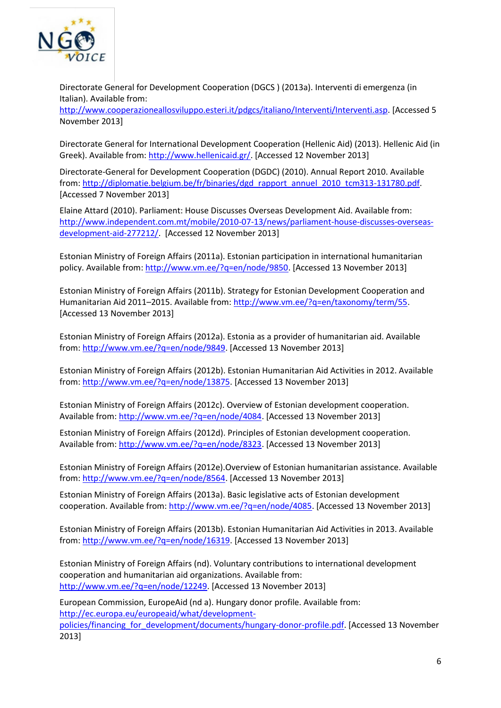

Directorate General for Development Cooperation (DGCS ) (2013a). Interventi di emergenza (in Italian). Available from:

[http://www.cooperazioneallosviluppo.esteri.it/pdgcs/italiano/Interventi/Interventi.asp.](http://www.cooperazioneallosviluppo.esteri.it/pdgcs/italiano/Interventi/Interventi.asp) [Accessed 5 November 2013]

Directorate General for International Development Cooperation (Hellenic Aid) (2013). Hellenic Aid (in Greek). Available from[: http://www.hellenicaid.gr/.](http://www.hellenicaid.gr/) [Accessed 12 November 2013]

Directorate-General for Development Cooperation (DGDC) (2010). Annual Report 2010. Available from: [http://diplomatie.belgium.be/fr/binaries/dgd\\_rapport\\_annuel\\_2010\\_tcm313-131780.pdf.](http://diplomatie.belgium.be/fr/binaries/dgd_rapport_annuel_2010_tcm313-131780.pdf) [Accessed 7 November 2013]

Elaine Attard (2010). Parliament: House Discusses Overseas Development Aid. Available from: [http://www.independent.com.mt/mobile/2010-07-13/news/parliament-house-discusses-overseas](http://www.independent.com.mt/mobile/2010-07-13/news/parliament-house-discusses-overseas-development-aid-277212/)[development-aid-277212/.](http://www.independent.com.mt/mobile/2010-07-13/news/parliament-house-discusses-overseas-development-aid-277212/) [Accessed 12 November 2013]

Estonian Ministry of Foreign Affairs (2011a). Estonian participation in international humanitarian policy. Available from: [http://www.vm.ee/?q=en/node/9850.](http://www.vm.ee/?q=en/node/9850) [Accessed 13 November 2013]

Estonian Ministry of Foreign Affairs (2011b). Strategy for Estonian Development Cooperation and Humanitarian Aid 2011–2015. Available from[: http://www.vm.ee/?q=en/taxonomy/term/55.](http://www.vm.ee/?q=en/taxonomy/term/55) [Accessed 13 November 2013]

Estonian Ministry of Foreign Affairs (2012a). Estonia as a provider of humanitarian aid. Available from: [http://www.vm.ee/?q=en/node/9849.](http://www.vm.ee/?q=en/node/9849) [Accessed 13 November 2013]

Estonian Ministry of Foreign Affairs (2012b). Estonian Humanitarian Aid Activities in 2012. Available from: [http://www.vm.ee/?q=en/node/13875.](http://www.vm.ee/?q=en/node/13875) [Accessed 13 November 2013]

Estonian Ministry of Foreign Affairs (2012c). Overview of Estonian development cooperation. Available from: [http://www.vm.ee/?q=en/node/4084.](http://www.vm.ee/?q=en/node/4084) [Accessed 13 November 2013]

Estonian Ministry of Foreign Affairs (2012d). Principles of Estonian development cooperation. Available from: [http://www.vm.ee/?q=en/node/8323.](http://www.vm.ee/?q=en/node/8323) [Accessed 13 November 2013]

Estonian Ministry of Foreign Affairs (2012e).Overview of Estonian humanitarian assistance. Available from: [http://www.vm.ee/?q=en/node/8564.](http://www.vm.ee/?q=en/node/8564) [Accessed 13 November 2013]

Estonian Ministry of Foreign Affairs (2013a). Basic legislative acts of Estonian development cooperation. Available from: [http://www.vm.ee/?q=en/node/4085.](http://www.vm.ee/?q=en/node/4085) [Accessed 13 November 2013]

Estonian Ministry of Foreign Affairs (2013b). Estonian Humanitarian Aid Activities in 2013. Available from: [http://www.vm.ee/?q=en/node/16319.](http://www.vm.ee/?q=en/node/16319) [Accessed 13 November 2013]

Estonian Ministry of Foreign Affairs (nd). Voluntary contributions to international development cooperation and humanitarian aid organizations. Available from: [http://www.vm.ee/?q=en/node/12249.](http://www.vm.ee/?q=en/node/12249) [Accessed 13 November 2013]

European Commission, EuropeAid (nd a). Hungary donor profile. Available from: [http://ec.europa.eu/europeaid/what/development](http://ec.europa.eu/europeaid/what/development-policies/financing_for_development/documents/hungary-donor-profile.pdf)[policies/financing\\_for\\_development/documents/hungary-donor-profile.pdf.](http://ec.europa.eu/europeaid/what/development-policies/financing_for_development/documents/hungary-donor-profile.pdf) [Accessed 13 November 2013]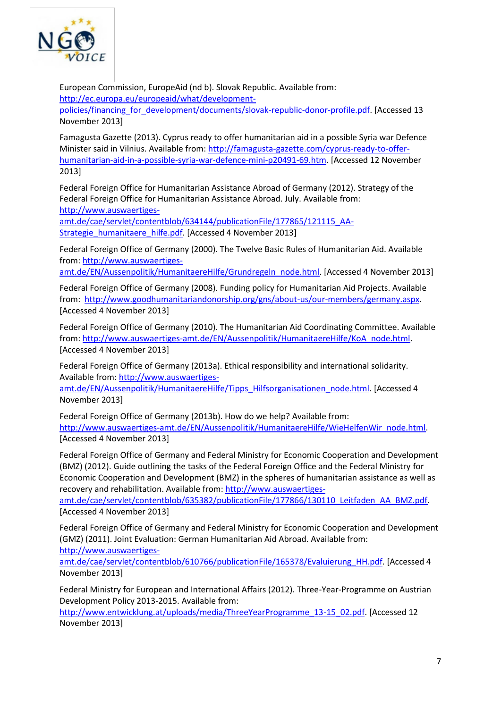

European Commission, EuropeAid (nd b). Slovak Republic. Available from: [http://ec.europa.eu/europeaid/what/development-](http://ec.europa.eu/europeaid/what/development-policies/financing_for_development/documents/slovak-republic-donor-profile.pdf)

[policies/financing\\_for\\_development/documents/slovak-republic-donor-profile.pdf.](http://ec.europa.eu/europeaid/what/development-policies/financing_for_development/documents/slovak-republic-donor-profile.pdf) [Accessed 13 November 2013]

Famagusta Gazette (2013). Cyprus ready to offer humanitarian aid in a possible Syria war Defence Minister said in Vilnius. Available from: [http://famagusta-gazette.com/cyprus-ready-to-offer](http://famagusta-gazette.com/cyprus-ready-to-offer-humanitarian-aid-in-a-possible-syria-war-defence-mini-p20491-69.htm)[humanitarian-aid-in-a-possible-syria-war-defence-mini-p20491-69.htm.](http://famagusta-gazette.com/cyprus-ready-to-offer-humanitarian-aid-in-a-possible-syria-war-defence-mini-p20491-69.htm) [Accessed 12 November 2013]

Federal Foreign Office for Humanitarian Assistance Abroad of Germany (2012). Strategy of the Federal Foreign Office for Humanitarian Assistance Abroad. July. Available from: [http://www.auswaertiges-](http://www.auswaertiges-amt.de/cae/servlet/contentblob/634144/publicationFile/177865/121115_AA-Strategie_humanitaere_hilfe.pdf)

[amt.de/cae/servlet/contentblob/634144/publicationFile/177865/121115\\_AA-](http://www.auswaertiges-amt.de/cae/servlet/contentblob/634144/publicationFile/177865/121115_AA-Strategie_humanitaere_hilfe.pdf)[Strategie\\_humanitaere\\_hilfe.pdf.](http://www.auswaertiges-amt.de/cae/servlet/contentblob/634144/publicationFile/177865/121115_AA-Strategie_humanitaere_hilfe.pdf) [Accessed 4 November 2013]

Federal Foreign Office of Germany (2000). The Twelve Basic Rules of Humanitarian Aid. Available from: [http://www.auswaertiges-](http://www.auswaertiges-amt.de/EN/Aussenpolitik/HumanitaereHilfe/Grundregeln_node.html)

[amt.de/EN/Aussenpolitik/HumanitaereHilfe/Grundregeln\\_node.html.](http://www.auswaertiges-amt.de/EN/Aussenpolitik/HumanitaereHilfe/Grundregeln_node.html) [Accessed 4 November 2013]

Federal Foreign Office of Germany (2008). Funding policy for Humanitarian Aid Projects. Available from: [http://www.goodhumanitariandonorship.org/gns/about-us/our-members/germany.aspx.](http://www.goodhumanitariandonorship.org/gns/about-us/our-members/germany.aspx) [Accessed 4 November 2013]

Federal Foreign Office of Germany (2010). The Humanitarian Aid Coordinating Committee. Available from: [http://www.auswaertiges-amt.de/EN/Aussenpolitik/HumanitaereHilfe/KoA\\_node.html.](http://www.auswaertiges-amt.de/EN/Aussenpolitik/HumanitaereHilfe/KoA_node.html) [Accessed 4 November 2013]

Federal Foreign Office of Germany (2013a). Ethical responsibility and international solidarity. Available from: [http://www.auswaertiges-](http://www.auswaertiges-amt.de/EN/Aussenpolitik/HumanitaereHilfe/Tipps_Hilfsorganisationen_node.html)

[amt.de/EN/Aussenpolitik/HumanitaereHilfe/Tipps\\_Hilfsorganisationen\\_node.html.](http://www.auswaertiges-amt.de/EN/Aussenpolitik/HumanitaereHilfe/Tipps_Hilfsorganisationen_node.html) [Accessed 4 November 2013]

Federal Foreign Office of Germany (2013b). How do we help? Available from: [http://www.auswaertiges-amt.de/EN/Aussenpolitik/HumanitaereHilfe/WieHelfenWir\\_node.html.](http://www.auswaertiges-amt.de/EN/Aussenpolitik/HumanitaereHilfe/WieHelfenWir_node.html) [Accessed 4 November 2013]

Federal Foreign Office of Germany and Federal Ministry for Economic Cooperation and Development (BMZ) (2012). Guide outlining the tasks of the Federal Foreign Office and the Federal Ministry for Economic Cooperation and Development (BMZ) in the spheres of humanitarian assistance as well as recovery and rehabilitation. Available from: [http://www.auswaertiges-](http://www.auswaertiges-amt.de/cae/servlet/contentblob/635382/publicationFile/177866/130110_Leitfaden_AA_BMZ.pdf)

[amt.de/cae/servlet/contentblob/635382/publicationFile/177866/130110\\_Leitfaden\\_AA\\_BMZ.pdf.](http://www.auswaertiges-amt.de/cae/servlet/contentblob/635382/publicationFile/177866/130110_Leitfaden_AA_BMZ.pdf) [Accessed 4 November 2013]

Federal Foreign Office of Germany and Federal Ministry for Economic Cooperation and Development (GMZ) (2011). Joint Evaluation: German Humanitarian Aid Abroad. Available from:

[http://www.auswaertiges-](http://www.auswaertiges-amt.de/cae/servlet/contentblob/610766/publicationFile/165378/Evaluierung_HH.pdf)

[amt.de/cae/servlet/contentblob/610766/publicationFile/165378/Evaluierung\\_HH.pdf.](http://www.auswaertiges-amt.de/cae/servlet/contentblob/610766/publicationFile/165378/Evaluierung_HH.pdf) [Accessed 4 November 2013]

Federal Ministry for European and International Affairs (2012). Three-Year-Programme on Austrian Development Policy 2013-2015. Available from:

[http://www.entwicklung.at/uploads/media/ThreeYearProgramme\\_13-15\\_02.pdf.](http://www.entwicklung.at/uploads/media/ThreeYearProgramme_13-15_02.pdf) [Accessed 12 November 2013]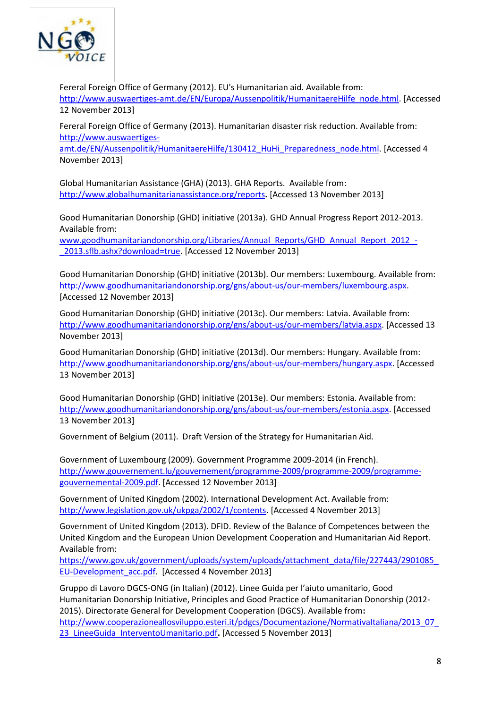

Fereral Foreign Office of Germany (2012). EU's Humanitarian aid. Available from: [http://www.auswaertiges-amt.de/EN/Europa/Aussenpolitik/HumanitaereHilfe\\_node.html.](http://www.auswaertiges-amt.de/EN/Europa/Aussenpolitik/HumanitaereHilfe_node.html) [Accessed 12 November 2013]

Fereral Foreign Office of Germany (2013). Humanitarian disaster risk reduction. Available from: [http://www.auswaertiges-](http://www.auswaertiges-amt.de/EN/Aussenpolitik/HumanitaereHilfe/130412_HuHi_Preparedness_node.html)

[amt.de/EN/Aussenpolitik/HumanitaereHilfe/130412\\_HuHi\\_Preparedness\\_node.html.](http://www.auswaertiges-amt.de/EN/Aussenpolitik/HumanitaereHilfe/130412_HuHi_Preparedness_node.html) [Accessed 4 November 2013]

Global Humanitarian Assistance (GHA) (2013). GHA Reports. Available from: <http://www.globalhumanitarianassistance.org/reports>**.** [Accessed 13 November 2013]

Good Humanitarian Donorship (GHD) initiative (2013a). GHD Annual Progress Report 2012-2013. Available from:

[www.goodhumanitariandonorship.org/Libraries/Annual\\_Reports/GHD\\_Annual\\_Report\\_2012\\_-](http://www.goodhumanitariandonorship.org/Libraries/Annual_Reports/GHD_Annual_Report_2012_-_2013.sflb.ashx?download=true) [\\_2013.sflb.ashx?download=true.](http://www.goodhumanitariandonorship.org/Libraries/Annual_Reports/GHD_Annual_Report_2012_-_2013.sflb.ashx?download=true) [Accessed 12 November 2013]

Good Humanitarian Donorship (GHD) initiative (2013b). Our members: Luxembourg. Available from: [http://www.goodhumanitariandonorship.org/gns/about-us/our-members/luxembourg.aspx.](http://www.goodhumanitariandonorship.org/gns/about-us/our-members/luxembourg.aspx) [Accessed 12 November 2013]

Good Humanitarian Donorship (GHD) initiative (2013c). Our members: Latvia. Available from: [http://www.goodhumanitariandonorship.org/gns/about-us/our-members/latvia.aspx.](http://www.goodhumanitariandonorship.org/gns/about-us/our-members/latvia.aspx) [Accessed 13 November 2013]

Good Humanitarian Donorship (GHD) initiative (2013d). Our members: Hungary. Available from: [http://www.goodhumanitariandonorship.org/gns/about-us/our-members/hungary.aspx.](http://www.goodhumanitariandonorship.org/gns/about-us/our-members/hungary.aspx) [Accessed 13 November 2013]

Good Humanitarian Donorship (GHD) initiative (2013e). Our members: Estonia. Available from: [http://www.goodhumanitariandonorship.org/gns/about-us/our-members/estonia.aspx.](http://www.goodhumanitariandonorship.org/gns/about-us/our-members/estonia.aspx) [Accessed 13 November 2013]

Government of Belgium (2011). Draft Version of the Strategy for Humanitarian Aid.

Government of Luxembourg (2009). Government Programme 2009-2014 (in French). [http://www.gouvernement.lu/gouvernement/programme-2009/programme-2009/programme](http://www.gouvernement.lu/gouvernement/programme-2009/programme-2009/programme-gouvernemental-2009.pdf)[gouvernemental-2009.pdf.](http://www.gouvernement.lu/gouvernement/programme-2009/programme-2009/programme-gouvernemental-2009.pdf) [Accessed 12 November 2013]

Government of United Kingdom (2002). International Development Act. Available from: [http://www.legislation.gov.uk/ukpga/2002/1/contents.](http://www.legislation.gov.uk/ukpga/2002/1/contents) [Accessed 4 November 2013]

Government of United Kingdom (2013). DFID. Review of the Balance of Competences between the United Kingdom and the European Union Development Cooperation and Humanitarian Aid Report. Available from:

https://www.gov.uk/government/uploads/system/uploads/attachment\_data/file/227443/2901085 [EU-Development\\_acc.pdf.](https://www.gov.uk/government/uploads/system/uploads/attachment_data/file/227443/2901085_EU-Development_acc.pdf) [Accessed 4 November 2013]

Gruppo di Lavoro DGCS-ONG (in Italian) (2012). Linee Guida per l'aiuto umanitario, Good Humanitarian Donorship Initiative, Principles and Good Practice of Humanitarian Donorship (2012- 2015). Directorate General for Development Cooperation (DGCS). Available from**:**  [http://www.cooperazioneallosviluppo.esteri.it/pdgcs/Documentazione/NormativaItaliana/2013\\_07\\_](http://www.cooperazioneallosviluppo.esteri.it/pdgcs/Documentazione/NormativaItaliana/2013_07_23_LineeGuida_InterventoUmanitario.pdf) [23\\_LineeGuida\\_InterventoUmanitario.pdf](http://www.cooperazioneallosviluppo.esteri.it/pdgcs/Documentazione/NormativaItaliana/2013_07_23_LineeGuida_InterventoUmanitario.pdf)**.** [Accessed 5 November 2013]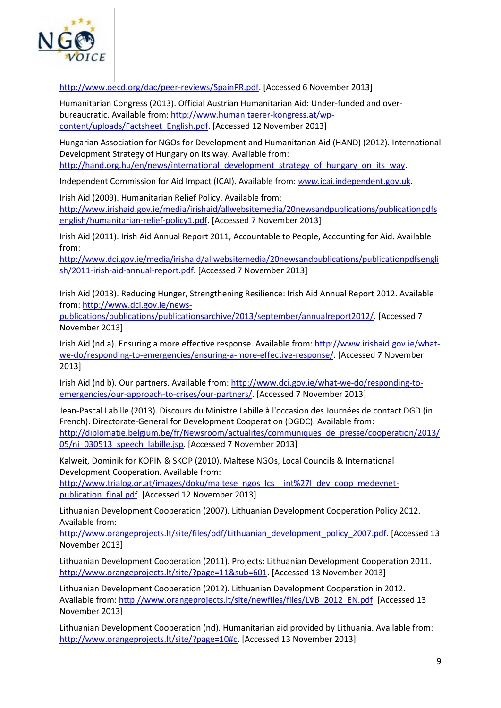

[http://www.oecd.org/dac/peer-reviews/SpainPR.pdf.](http://www.oecd.org/dac/peer-reviews/SpainPR.pdf) [Accessed 6 November 2013]

Humanitarian Congress (2013). Official Austrian Humanitarian Aid: Under-funded and overbureaucratic. Available from: [http://www.humanitaerer-kongress.at/wp](http://www.humanitaerer-kongress.at/wp-content/uploads/Factsheet_English.pdf)[content/uploads/Factsheet\\_English.pdf.](http://www.humanitaerer-kongress.at/wp-content/uploads/Factsheet_English.pdf) [Accessed 12 November 2013]

Hungarian Association for NGOs for Development and Humanitarian Aid (HAND) (2012). International Development Strategy of Hungary on its way. Available from: [http://hand.org.hu/en/news/international\\_development\\_strategy\\_of\\_hungary\\_on\\_its\\_way.](http://hand.org.hu/en/news/international_development_strategy_of_hungary_on_its_way)

Independent Commission for Aid Impact (ICAI). Available from: *www.*[icai.independent.gov.uk](http://www.icai.independent.gov.uk/)*.* 

Irish Aid (2009). Humanitarian Relief Policy. Available from: [http://www.irishaid.gov.ie/media/irishaid/allwebsitemedia/20newsandpublications/publicationpdfs](http://www.irishaid.gov.ie/media/irishaid/allwebsitemedia/20newsandpublications/publicationpdfsenglish/humanitarian-relief-policy1.pdf) [english/humanitarian-relief-policy1.pdf.](http://www.irishaid.gov.ie/media/irishaid/allwebsitemedia/20newsandpublications/publicationpdfsenglish/humanitarian-relief-policy1.pdf) [Accessed 7 November 2013]

Irish Aid (2011). Irish Aid Annual Report 2011, Accountable to People, Accounting for Aid. Available from:

[http://www.dci.gov.ie/media/irishaid/allwebsitemedia/20newsandpublications/publicationpdfsengli](http://www.dci.gov.ie/media/irishaid/allwebsitemedia/20newsandpublications/publicationpdfsenglish/2011-irish-aid-annual-report.pdf) [sh/2011-irish-aid-annual-report.pdf.](http://www.dci.gov.ie/media/irishaid/allwebsitemedia/20newsandpublications/publicationpdfsenglish/2011-irish-aid-annual-report.pdf) [Accessed 7 November 2013]

Irish Aid (2013). Reducing Hunger, Strengthening Resilience: Irish Aid Annual Report 2012. Available from: [http://www.dci.gov.ie/news-](http://www.dci.gov.ie/news-publications/publications/publicationsarchive/2013/september/annualreport2012/)

[publications/publications/publicationsarchive/2013/september/annualreport2012/.](http://www.dci.gov.ie/news-publications/publications/publicationsarchive/2013/september/annualreport2012/) [Accessed 7 November 2013]

Irish Aid (nd a). Ensuring a more effective response. Available from: [http://www.irishaid.gov.ie/what](http://www.irishaid.gov.ie/what-we-do/responding-to-emergencies/ensuring-a-more-effective-response/)[we-do/responding-to-emergencies/ensuring-a-more-effective-response/.](http://www.irishaid.gov.ie/what-we-do/responding-to-emergencies/ensuring-a-more-effective-response/) [Accessed 7 November 2013]

Irish Aid (nd b). Our partners. Available from[: http://www.dci.gov.ie/what-we-do/responding-to](http://www.dci.gov.ie/what-we-do/responding-to-emergencies/our-approach-to-crises/our-partners/)[emergencies/our-approach-to-crises/our-partners/.](http://www.dci.gov.ie/what-we-do/responding-to-emergencies/our-approach-to-crises/our-partners/) [Accessed 7 November 2013]

Jean-Pascal Labille (2013). Discours du Ministre Labille à l'occasion des Journées de contact DGD (in French). Directorate-General for Development Cooperation (DGDC). Available from: [http://diplomatie.belgium.be/fr/Newsroom/actualites/communiques\\_de\\_presse/cooperation/2013/](http://diplomatie.belgium.be/fr/Newsroom/actualites/communiques_de_presse/cooperation/2013/05/ni_030513_speech_labille.jsp) [05/ni\\_030513\\_speech\\_labille.jsp.](http://diplomatie.belgium.be/fr/Newsroom/actualites/communiques_de_presse/cooperation/2013/05/ni_030513_speech_labille.jsp) [Accessed 7 November 2013]

Kalweit, Dominik for KOPIN & SKOP (2010). Maltese NGOs, Local Councils & International Development Cooperation. Available from:

[http://www.trialog.or.at/images/doku/maltese\\_ngos\\_lcs\\_\\_int%27l\\_dev\\_coop\\_medevnet](http://www.trialog.or.at/images/doku/maltese_ngos_lcs__int%27l_dev_coop_medevnet-publication_final.pdf)[publication\\_final.pdf.](http://www.trialog.or.at/images/doku/maltese_ngos_lcs__int%27l_dev_coop_medevnet-publication_final.pdf) [Accessed 12 November 2013]

Lithuanian Development Cooperation (2007). Lithuanian Development Cooperation Policy 2012. Available from:

[http://www.orangeprojects.lt/site/files/pdf/Lithuanian\\_development\\_policy\\_2007.pdf.](http://www.orangeprojects.lt/site/files/pdf/Lithuanian_development_policy_2007.pdf) [Accessed 13 November 2013]

[Lithuanian Development Cooperation \(2011\)](http://www.orangeprojects.lt/site/newfiles/files/Lietuvos_vystomasis_bendradarbiavimas_2011_EN.pdf). Projects: [Lithuanian Development Cooperation 2011.](http://www.orangeprojects.lt/site/newfiles/files/Lietuvos_vystomasis_bendradarbiavimas_2011_EN.pdf) [http://www.orangeprojects.lt/site/?page=11&sub=601.](http://www.orangeprojects.lt/site/?page=11&sub=601) [Accessed 13 November 2013]

Lithuanian Development Cooperation (2012). Lithuanian Development Cooperation in 2012. Available from: [http://www.orangeprojects.lt/site/newfiles/files/LVB\\_2012\\_EN.pdf.](http://www.orangeprojects.lt/site/newfiles/files/LVB_2012_EN.pdf) [Accessed 13 November 2013]

[Lithuanian Development Cooperation \(nd\)](http://www.orangeprojects.lt/site/newfiles/files/Lietuvos_vystomasis_bendradarbiavimas_2011_EN.pdf). Humanitarian aid provided by Lithuania. Available from: [http://www.orangeprojects.lt/site/?page=10#c.](http://www.orangeprojects.lt/site/?page=10#c) [Accessed 13 November 2013]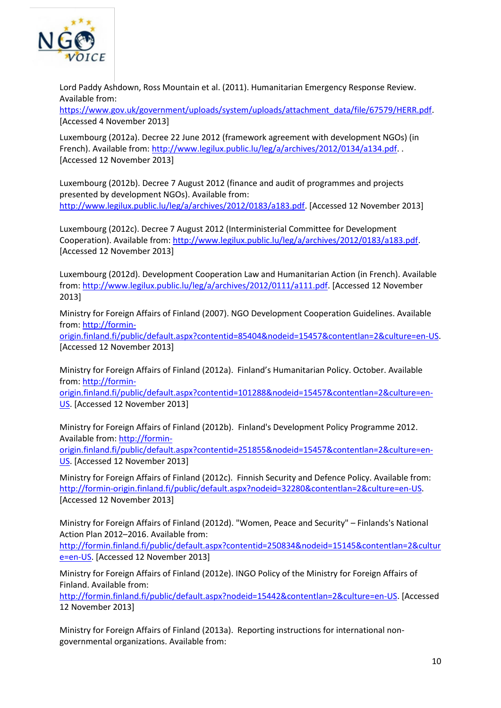

Lord Paddy Ashdown, Ross Mountain et al. (2011). Humanitarian Emergency Response Review. Available from:

[https://www.gov.uk/government/uploads/system/uploads/attachment\\_data/file/67579/HERR.pdf.](https://www.gov.uk/government/uploads/system/uploads/attachment_data/file/67579/HERR.pdf) [Accessed 4 November 2013]

Luxembourg (2012a). Decree 22 June 2012 (framework agreement with development NGOs) (in French). Available from: [http://www.legilux.public.lu/leg/a/archives/2012/0134/a134.pdf.](http://www.legilux.public.lu/leg/a/archives/2012/0134/a134.pdf) . [Accessed 12 November 2013]

Luxembourg (2012b). Decree 7 August 2012 (finance and audit of programmes and projects presented by development NGOs). Available from: [http://www.legilux.public.lu/leg/a/archives/2012/0183/a183.pdf.](http://www.legilux.public.lu/leg/a/archives/2012/0183/a183.pdf) [Accessed 12 November 2013]

Luxembourg (2012c). Decree 7 August 2012 (Interministerial Committee for Development Cooperation). Available from[: http://www.legilux.public.lu/leg/a/archives/2012/0183/a183.pdf.](http://www.legilux.public.lu/leg/a/archives/2012/0183/a183.pdf) [Accessed 12 November 2013]

Luxembourg (2012d). Development Cooperation Law and Humanitarian Action (in French). Available from: [http://www.legilux.public.lu/leg/a/archives/2012/0111/a111.pdf.](http://www.legilux.public.lu/leg/a/archives/2012/0111/a111.pdf) [Accessed 12 November 2013]

Ministry for Foreign Affairs of Finland (2007). NGO Development Cooperation Guidelines. Available from: [http://formin-](http://formin-origin.finland.fi/public/default.aspx?contentid=85404&nodeid=15457&contentlan=2&culture=en-US)

[origin.finland.fi/public/default.aspx?contentid=85404&nodeid=15457&contentlan=2&culture=en-US.](http://formin-origin.finland.fi/public/default.aspx?contentid=85404&nodeid=15457&contentlan=2&culture=en-US) [Accessed 12 November 2013]

Ministry for Foreign Affairs of Finland (2012a). Finland's Humanitarian Policy. October. Available from: [http://formin-](http://formin-origin.finland.fi/public/default.aspx?contentid=101288&nodeid=15457&contentlan=2&culture=en-US)

[origin.finland.fi/public/default.aspx?contentid=101288&nodeid=15457&contentlan=2&culture=en-](http://formin-origin.finland.fi/public/default.aspx?contentid=101288&nodeid=15457&contentlan=2&culture=en-US)[US.](http://formin-origin.finland.fi/public/default.aspx?contentid=101288&nodeid=15457&contentlan=2&culture=en-US) [Accessed 12 November 2013]

Ministry for Foreign Affairs of Finland (2012b). Finland's Development Policy Programme 2012. Available from: [http://formin-](http://formin-origin.finland.fi/public/default.aspx?contentid=251855&nodeid=15457&contentlan=2&culture=en-US)

[origin.finland.fi/public/default.aspx?contentid=251855&nodeid=15457&contentlan=2&culture=en-](http://formin-origin.finland.fi/public/default.aspx?contentid=251855&nodeid=15457&contentlan=2&culture=en-US)[US.](http://formin-origin.finland.fi/public/default.aspx?contentid=251855&nodeid=15457&contentlan=2&culture=en-US) [Accessed 12 November 2013]

Ministry for Foreign Affairs of Finland (2012c). Finnish Security and Defence Policy. Available from: [http://formin-origin.finland.fi/public/default.aspx?nodeid=32280&contentlan=2&culture=en-US.](http://formin-origin.finland.fi/public/default.aspx?nodeid=32280&contentlan=2&culture=en-US) [Accessed 12 November 2013]

Ministry for Foreign Affairs of Finland (2012d). "Women, Peace and Security" – Finlands's National Action Plan 2012–2016. Available from:

[http://formin.finland.fi/public/default.aspx?contentid=250834&nodeid=15145&contentlan=2&cultur](http://formin.finland.fi/public/default.aspx?contentid=250834&nodeid=15145&contentlan=2&culture=en-US) [e=en-US.](http://formin.finland.fi/public/default.aspx?contentid=250834&nodeid=15145&contentlan=2&culture=en-US) [Accessed 12 November 2013]

Ministry for Foreign Affairs of Finland (2012e). INGO Policy of the Ministry for Foreign Affairs of Finland. Available from:

[http://formin.finland.fi/public/default.aspx?nodeid=15442&contentlan=2&culture=en-US.](http://formin.finland.fi/public/default.aspx?nodeid=15442&contentlan=2&culture=en-US) [Accessed 12 November 2013]

Ministry for Foreign Affairs of Finland (2013a). Reporting instructions for international nongovernmental organizations. Available from: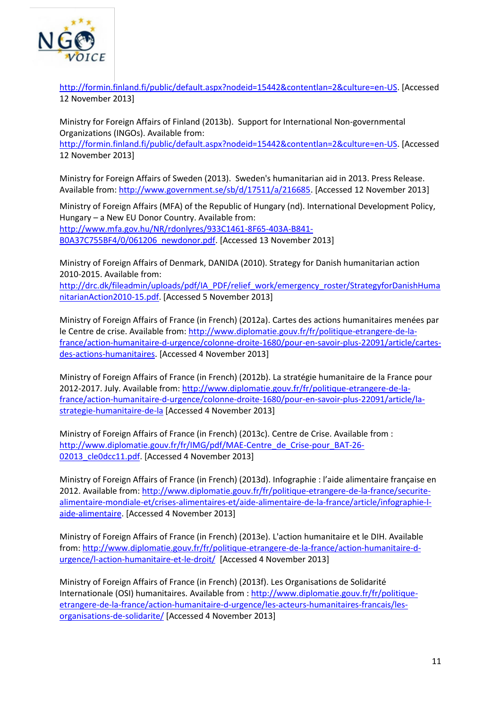

[http://formin.finland.fi/public/default.aspx?nodeid=15442&contentlan=2&culture=en-US.](http://formin.finland.fi/public/default.aspx?nodeid=15442&contentlan=2&culture=en-US) [Accessed 12 November 2013]

Ministry for Foreign Affairs of Finland (2013b). Support for International Non-governmental Organizations (INGOs). Available from: [http://formin.finland.fi/public/default.aspx?nodeid=15442&contentlan=2&culture=en-US.](http://formin.finland.fi/public/default.aspx?nodeid=15442&contentlan=2&culture=en-US) [Accessed 12 November 2013]

Ministry for Foreign Affairs of Sweden (2013). Sweden's humanitarian aid in 2013. Press Release. Available from: [http://www.government.se/sb/d/17511/a/216685.](http://www.government.se/sb/d/17511/a/216685) [Accessed 12 November 2013]

Ministry of Foreign Affairs (MFA) of the Republic of Hungary (nd). International Development Policy, Hungary – a New EU Donor Country. Available from: [http://www.mfa.gov.hu/NR/rdonlyres/933C1461-8F65-403A-B841-](http://www.mfa.gov.hu/NR/rdonlyres/933C1461-8F65-403A-B841-B0A37C755BF4/0/061206_newdonor.pdf) [B0A37C755BF4/0/061206\\_newdonor.pdf.](http://www.mfa.gov.hu/NR/rdonlyres/933C1461-8F65-403A-B841-B0A37C755BF4/0/061206_newdonor.pdf) [Accessed 13 November 2013]

Ministry of Foreign Affairs of Denmark, DANIDA (2010). Strategy for Danish humanitarian action 2010-2015. Available from:

[http://drc.dk/fileadmin/uploads/pdf/IA\\_PDF/relief\\_work/emergency\\_roster/StrategyforDanishHuma](http://drc.dk/fileadmin/uploads/pdf/IA_PDF/relief_work/emergency_roster/StrategyforDanishHumanitarianAction2010-15.pdf) [nitarianAction2010-15.pdf.](http://drc.dk/fileadmin/uploads/pdf/IA_PDF/relief_work/emergency_roster/StrategyforDanishHumanitarianAction2010-15.pdf) [Accessed 5 November 2013]

Ministry of Foreign Affairs of France (in French) (2012a). Cartes des actions humanitaires menées par le Centre de crise. Available from: [http://www.diplomatie.gouv.fr/fr/politique-etrangere-de-la](http://www.diplomatie.gouv.fr/fr/politique-etrangere-de-la-france/action-humanitaire-d-urgence/colonne-droite-1680/pour-en-savoir-plus-22091/article/cartes-des-actions-humanitaires)[france/action-humanitaire-d-urgence/colonne-droite-1680/pour-en-savoir-plus-22091/article/cartes](http://www.diplomatie.gouv.fr/fr/politique-etrangere-de-la-france/action-humanitaire-d-urgence/colonne-droite-1680/pour-en-savoir-plus-22091/article/cartes-des-actions-humanitaires)[des-actions-humanitaires.](http://www.diplomatie.gouv.fr/fr/politique-etrangere-de-la-france/action-humanitaire-d-urgence/colonne-droite-1680/pour-en-savoir-plus-22091/article/cartes-des-actions-humanitaires) [Accessed 4 November 2013]

Ministry of Foreign Affairs of France (in French) (2012b). La stratégie humanitaire de la France pour 2012-2017. July. Available from[: http://www.diplomatie.gouv.fr/fr/politique-etrangere-de-la](http://www.diplomatie.gouv.fr/fr/politique-etrangere-de-la-france/action-humanitaire-d-urgence/colonne-droite-1680/pour-en-savoir-plus-22091/article/la-strategie-humanitaire-de-la)[france/action-humanitaire-d-urgence/colonne-droite-1680/pour-en-savoir-plus-22091/article/la](http://www.diplomatie.gouv.fr/fr/politique-etrangere-de-la-france/action-humanitaire-d-urgence/colonne-droite-1680/pour-en-savoir-plus-22091/article/la-strategie-humanitaire-de-la)[strategie-humanitaire-de-la](http://www.diplomatie.gouv.fr/fr/politique-etrangere-de-la-france/action-humanitaire-d-urgence/colonne-droite-1680/pour-en-savoir-plus-22091/article/la-strategie-humanitaire-de-la) [Accessed 4 November 2013]

Ministry of Foreign Affairs of France (in French) (2013c). Centre de Crise. Available from : [http://www.diplomatie.gouv.fr/fr/IMG/pdf/MAE-Centre\\_de\\_Crise-pour\\_BAT-26-](http://www.diplomatie.gouv.fr/fr/IMG/pdf/MAE-Centre_de_Crise-pour_BAT-26-02013_cle0dcc11.pdf) 02013 cle0dcc11.pdf. [Accessed 4 November 2013]

Ministry of Foreign Affairs of France (in French) (2013d). Infographie : l'aide alimentaire française en 2012. Available from: [http://www.diplomatie.gouv.fr/fr/politique-etrangere-de-la-france/securite](http://www.diplomatie.gouv.fr/fr/politique-etrangere-de-la-france/securite-alimentaire-mondiale-et/crises-alimentaires-et/aide-alimentaire-de-la-france/article/infographie-l-aide-alimentaire)[alimentaire-mondiale-et/crises-alimentaires-et/aide-alimentaire-de-la-france/article/infographie-l](http://www.diplomatie.gouv.fr/fr/politique-etrangere-de-la-france/securite-alimentaire-mondiale-et/crises-alimentaires-et/aide-alimentaire-de-la-france/article/infographie-l-aide-alimentaire)[aide-alimentaire.](http://www.diplomatie.gouv.fr/fr/politique-etrangere-de-la-france/securite-alimentaire-mondiale-et/crises-alimentaires-et/aide-alimentaire-de-la-france/article/infographie-l-aide-alimentaire) [Accessed 4 November 2013]

Ministry of Foreign Affairs of France (in French) (2013e). L'action humanitaire et le DIH. Available from: [http://www.diplomatie.gouv.fr/fr/politique-etrangere-de-la-france/action-humanitaire-d](http://www.diplomatie.gouv.fr/fr/politique-etrangere-de-la-france/action-humanitaire-d-urgence/l-action-humanitaire-et-le-droit/)[urgence/l-action-humanitaire-et-le-droit/](http://www.diplomatie.gouv.fr/fr/politique-etrangere-de-la-france/action-humanitaire-d-urgence/l-action-humanitaire-et-le-droit/) [Accessed 4 November 2013]

Ministry of Foreign Affairs of France (in French) (2013f). Les Organisations de Solidarité Internationale (OSI) humanitaires. Available from [: http://www.diplomatie.gouv.fr/fr/politique](http://www.diplomatie.gouv.fr/fr/politique-etrangere-de-la-france/action-humanitaire-d-urgence/les-acteurs-humanitaires-francais/les-organisations-de-solidarite/)[etrangere-de-la-france/action-humanitaire-d-urgence/les-acteurs-humanitaires-francais/les](http://www.diplomatie.gouv.fr/fr/politique-etrangere-de-la-france/action-humanitaire-d-urgence/les-acteurs-humanitaires-francais/les-organisations-de-solidarite/)[organisations-de-solidarite/](http://www.diplomatie.gouv.fr/fr/politique-etrangere-de-la-france/action-humanitaire-d-urgence/les-acteurs-humanitaires-francais/les-organisations-de-solidarite/) [Accessed 4 November 2013]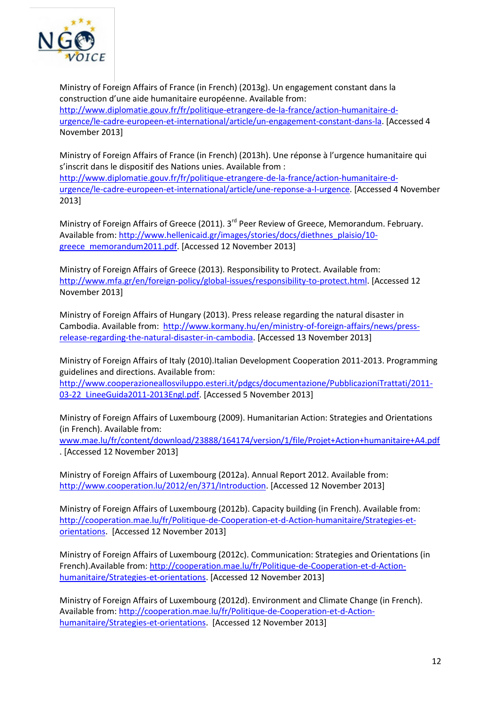

Ministry of Foreign Affairs of France (in French) (2013g). Un engagement constant dans la construction d'une aide humanitaire européenne. Available from: [http://www.diplomatie.gouv.fr/fr/politique-etrangere-de-la-france/action-humanitaire-d](http://www.diplomatie.gouv.fr/fr/politique-etrangere-de-la-france/action-humanitaire-d-urgence/le-cadre-europeen-et-international/article/un-engagement-constant-dans-la)[urgence/le-cadre-europeen-et-international/article/un-engagement-constant-dans-la.](http://www.diplomatie.gouv.fr/fr/politique-etrangere-de-la-france/action-humanitaire-d-urgence/le-cadre-europeen-et-international/article/un-engagement-constant-dans-la) [Accessed 4 November 2013]

Ministry of Foreign Affairs of France (in French) (2013h). Une réponse à l'urgence humanitaire qui s'inscrit dans le dispositif des Nations unies. Available from : [http://www.diplomatie.gouv.fr/fr/politique-etrangere-de-la-france/action-humanitaire-d](http://www.diplomatie.gouv.fr/fr/politique-etrangere-de-la-france/action-humanitaire-d-urgence/le-cadre-europeen-et-international/article/une-reponse-a-l-urgence)[urgence/le-cadre-europeen-et-international/article/une-reponse-a-l-urgence.](http://www.diplomatie.gouv.fr/fr/politique-etrangere-de-la-france/action-humanitaire-d-urgence/le-cadre-europeen-et-international/article/une-reponse-a-l-urgence) [Accessed 4 November 2013]

Ministry of Foreign Affairs of Greece (2011). 3<sup>rd</sup> Peer Review of Greece, Memorandum. February. Available from: [http://www.hellenicaid.gr/images/stories/docs/diethnes\\_plaisio/10](http://www.hellenicaid.gr/images/stories/docs/diethnes_plaisio/10-greece_memorandum2011.pdf) [greece\\_memorandum2011.pdf.](http://www.hellenicaid.gr/images/stories/docs/diethnes_plaisio/10-greece_memorandum2011.pdf) [Accessed 12 November 2013]

Ministry of Foreign Affairs of Greece (2013). Responsibility to Protect. Available from: [http://www.mfa.gr/en/foreign-policy/global-issues/responsibility-to-protect.html.](http://www.mfa.gr/en/foreign-policy/global-issues/responsibility-to-protect.html) [Accessed 12 November 2013]

Ministry of Foreign Affairs of Hungary (2013). Press release regarding the natural disaster in Cambodia. Available from: [http://www.kormany.hu/en/ministry-of-foreign-affairs/news/press](http://www.kormany.hu/en/ministry-of-foreign-affairs/news/press-release-regarding-the-natural-disaster-in-cambodia)[release-regarding-the-natural-disaster-in-cambodia.](http://www.kormany.hu/en/ministry-of-foreign-affairs/news/press-release-regarding-the-natural-disaster-in-cambodia) [Accessed 13 November 2013]

Ministry of Foreign Affairs of Italy (2010).Italian Development Cooperation 2011-2013. Programming guidelines and directions. Available from:

[http://www.cooperazioneallosviluppo.esteri.it/pdgcs/documentazione/PubblicazioniTrattati/2011-](http://www.cooperazioneallosviluppo.esteri.it/pdgcs/documentazione/PubblicazioniTrattati/2011-03-22_LineeGuida2011-2013Engl.pdf) 03-22 LineeGuida2011-2013Engl.pdf. [Accessed 5 November 2013]

Ministry of Foreign Affairs of Luxembourg (2009). Humanitarian Action: Strategies and Orientations (in French). Available from:

[www.mae.lu/fr/content/download/23888/164174/version/1/file/Projet+Action+humanitaire+A4.pdf](http://www.mae.lu/fr/content/download/23888/164174/version/1/file/Projet+Action+humanitaire+A4.pdf) . [Accessed 12 November 2013]

Ministry of Foreign Affairs of Luxembourg (2012a). Annual Report 2012. Available from: [http://www.cooperation.lu/2012/en/371/Introduction.](http://www.cooperation.lu/2012/en/371/Introduction) [Accessed 12 November 2013]

Ministry of Foreign Affairs of Luxembourg (2012b). Capacity building (in French). Available from: [http://cooperation.mae.lu/fr/Politique-de-Cooperation-et-d-Action-humanitaire/Strategies-et](http://cooperation.mae.lu/fr/Politique-de-Cooperation-et-d-Action-humanitaire/Strategies-et-orientations)[orientations.](http://cooperation.mae.lu/fr/Politique-de-Cooperation-et-d-Action-humanitaire/Strategies-et-orientations) [Accessed 12 November 2013]

Ministry of Foreign Affairs of Luxembourg (2012c). Communication: Strategies and Orientations (in French).Available from: [http://cooperation.mae.lu/fr/Politique-de-Cooperation-et-d-Action](http://cooperation.mae.lu/fr/Politique-de-Cooperation-et-d-Action-humanitaire/Strategies-et-orientations)[humanitaire/Strategies-et-orientations.](http://cooperation.mae.lu/fr/Politique-de-Cooperation-et-d-Action-humanitaire/Strategies-et-orientations) [Accessed 12 November 2013]

Ministry of Foreign Affairs of Luxembourg (2012d). Environment and Climate Change (in French). Available from: [http://cooperation.mae.lu/fr/Politique-de-Cooperation-et-d-Action](http://cooperation.mae.lu/fr/Politique-de-Cooperation-et-d-Action-humanitaire/Strategies-et-orientations)[humanitaire/Strategies-et-orientations.](http://cooperation.mae.lu/fr/Politique-de-Cooperation-et-d-Action-humanitaire/Strategies-et-orientations) [Accessed 12 November 2013]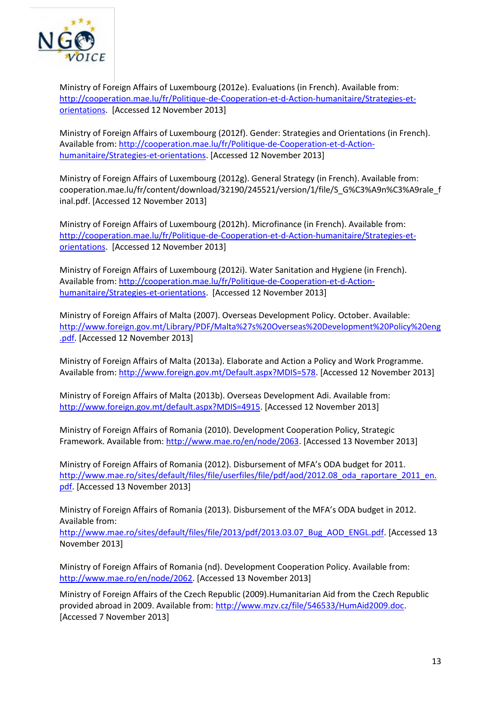

Ministry of Foreign Affairs of Luxembourg (2012e). Evaluations (in French). Available from: [http://cooperation.mae.lu/fr/Politique-de-Cooperation-et-d-Action-humanitaire/Strategies-et](http://cooperation.mae.lu/fr/Politique-de-Cooperation-et-d-Action-humanitaire/Strategies-et-orientations)[orientations.](http://cooperation.mae.lu/fr/Politique-de-Cooperation-et-d-Action-humanitaire/Strategies-et-orientations) [Accessed 12 November 2013]

Ministry of Foreign Affairs of Luxembourg (2012f). Gender: Strategies and Orientations (in French). Available from: [http://cooperation.mae.lu/fr/Politique-de-Cooperation-et-d-Action](http://cooperation.mae.lu/fr/Politique-de-Cooperation-et-d-Action-humanitaire/Strategies-et-orientations)[humanitaire/Strategies-et-orientations.](http://cooperation.mae.lu/fr/Politique-de-Cooperation-et-d-Action-humanitaire/Strategies-et-orientations) [Accessed 12 November 2013]

Ministry of Foreign Affairs of Luxembourg (2012g). General Strategy (in French). Available from: cooperation.mae.lu/fr/content/download/32190/245521/version/1/file/S\_G%C3%A9n%C3%A9rale\_f inal.pdf. [Accessed 12 November 2013]

Ministry of Foreign Affairs of Luxembourg (2012h). Microfinance (in French). Available from: [http://cooperation.mae.lu/fr/Politique-de-Cooperation-et-d-Action-humanitaire/Strategies-et](http://cooperation.mae.lu/fr/Politique-de-Cooperation-et-d-Action-humanitaire/Strategies-et-orientations)[orientations.](http://cooperation.mae.lu/fr/Politique-de-Cooperation-et-d-Action-humanitaire/Strategies-et-orientations) [Accessed 12 November 2013]

Ministry of Foreign Affairs of Luxembourg (2012i). Water Sanitation and Hygiene (in French). Available from: [http://cooperation.mae.lu/fr/Politique-de-Cooperation-et-d-Action](http://cooperation.mae.lu/fr/Politique-de-Cooperation-et-d-Action-humanitaire/Strategies-et-orientations)[humanitaire/Strategies-et-orientations.](http://cooperation.mae.lu/fr/Politique-de-Cooperation-et-d-Action-humanitaire/Strategies-et-orientations) [Accessed 12 November 2013]

Ministry of Foreign Affairs of Malta (2007). Overseas Development Policy. October. Available: [http://www.foreign.gov.mt/Library/PDF/Malta%27s%20Overseas%20Development%20Policy%20eng](http://www.foreign.gov.mt/Library/PDF/Malta%27s%20Overseas%20Development%20Policy%20eng.pdf) [.pdf.](http://www.foreign.gov.mt/Library/PDF/Malta%27s%20Overseas%20Development%20Policy%20eng.pdf) [Accessed 12 November 2013]

Ministry of Foreign Affairs of Malta (2013a). Elaborate and Action a Policy and Work Programme. Available from: [http://www.foreign.gov.mt/Default.aspx?MDIS=578.](http://www.foreign.gov.mt/Default.aspx?MDIS=578) [Accessed 12 November 2013]

Ministry of Foreign Affairs of Malta (2013b). Overseas Development Adi. Available from: [http://www.foreign.gov.mt/default.aspx?MDIS=4915.](http://www.foreign.gov.mt/default.aspx?MDIS=4915) [Accessed 12 November 2013]

Ministry of Foreign Affairs of Romania (2010). Development Cooperation Policy, Strategic Framework. Available from: [http://www.mae.ro/en/node/2063.](http://www.mae.ro/en/node/2063) [Accessed 13 November 2013]

Ministry of Foreign Affairs of Romania (2012). Disbursement of MFA's ODA budget for 2011. http://www.mae.ro/sites/default/files/file/userfiles/file/pdf/aod/2012.08 oda\_raportare\_2011\_en. [pdf.](http://www.mae.ro/sites/default/files/file/userfiles/file/pdf/aod/2012.08_oda_raportare_2011_en.pdf) [Accessed 13 November 2013]

Ministry of Foreign Affairs of Romania (2013). Disbursement of the MFA's ODA budget in 2012. Available from:

http://www.mae.ro/sites/default/files/file/2013/pdf/2013.03.07 Bug\_AOD\_ENGL.pdf. [Accessed 13 November 2013]

Ministry of Foreign Affairs of Romania (nd). Development Cooperation Policy. Available from: [http://www.mae.ro/en/node/2062.](http://www.mae.ro/en/node/2062) [Accessed 13 November 2013]

Ministry of Foreign Affairs of the Czech Republic (2009).Humanitarian Aid from the Czech Republic provided abroad in 2009. Available from: [http://www.mzv.cz/file/546533/HumAid2009.doc.](http://www.mzv.cz/file/546533/HumAid2009.doc) [Accessed 7 November 2013]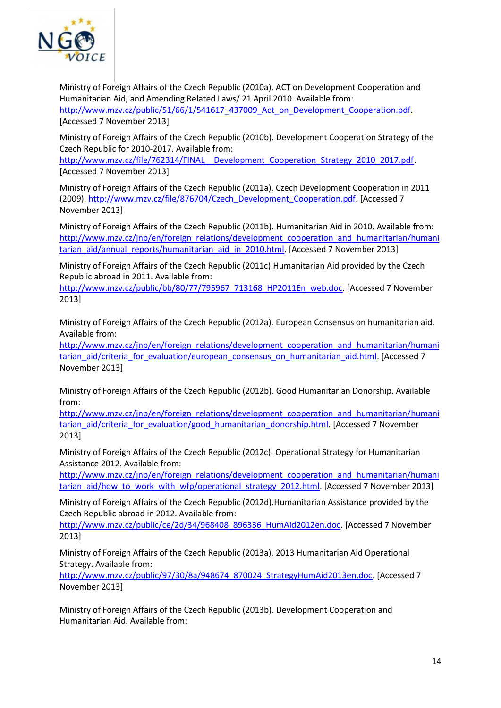

Ministry of Foreign Affairs of the Czech Republic (2010a). ACT on Development Cooperation and Humanitarian Aid, and Amending Related Laws/ 21 April 2010. Available from: [http://www.mzv.cz/public/51/66/1/541617\\_437009\\_Act\\_on\\_Development\\_Cooperation.pdf.](http://www.mzv.cz/public/51/66/1/541617_437009_Act_on_Development_Cooperation.pdf) [Accessed 7 November 2013]

Ministry of Foreign Affairs of the Czech Republic (2010b). Development Cooperation Strategy of the Czech Republic for 2010-2017. Available from:

http://www.mzv.cz/file/762314/FINAL\_ Development\_Cooperation\_Strategy\_2010\_2017.pdf. [Accessed 7 November 2013]

Ministry of Foreign Affairs of the Czech Republic (2011a). Czech Development Cooperation in 2011 (2009). [http://www.mzv.cz/file/876704/Czech\\_Development\\_Cooperation.pdf.](http://www.mzv.cz/file/876704/Czech_Development_Cooperation.pdf) [Accessed 7 November 2013]

Ministry of Foreign Affairs of the Czech Republic (2011b). Humanitarian Aid in 2010. Available from: [http://www.mzv.cz/jnp/en/foreign\\_relations/development\\_cooperation\\_and\\_humanitarian/humani](http://www.mzv.cz/jnp/en/foreign_relations/development_cooperation_and_humanitarian/humanitarian_aid/annual_reports/humanitarian_aid_in_2010.html) [tarian\\_aid/annual\\_reports/humanitarian\\_aid\\_in\\_2010.html.](http://www.mzv.cz/jnp/en/foreign_relations/development_cooperation_and_humanitarian/humanitarian_aid/annual_reports/humanitarian_aid_in_2010.html) [Accessed 7 November 2013]

Ministry of Foreign Affairs of the Czech Republic (2011c).Humanitarian Aid provided by the Czech Republic abroad in 2011. Available from:

[http://www.mzv.cz/public/bb/80/77/795967\\_713168\\_HP2011En\\_web.doc.](http://www.mzv.cz/public/bb/80/77/795967_713168_HP2011En_web.doc) [Accessed 7 November 2013]

Ministry of Foreign Affairs of the Czech Republic (2012a). European Consensus on humanitarian aid. Available from:

[http://www.mzv.cz/jnp/en/foreign\\_relations/development\\_cooperation\\_and\\_humanitarian/humani](http://www.mzv.cz/jnp/en/foreign_relations/development_cooperation_and_humanitarian/humanitarian_aid/criteria_for_evaluation/european_consensus_on_humanitarian_aid.html) [tarian\\_aid/criteria\\_for\\_evaluation/european\\_consensus\\_on\\_humanitarian\\_aid.html.](http://www.mzv.cz/jnp/en/foreign_relations/development_cooperation_and_humanitarian/humanitarian_aid/criteria_for_evaluation/european_consensus_on_humanitarian_aid.html) [Accessed 7 November 2013]

Ministry of Foreign Affairs of the Czech Republic (2012b). Good Humanitarian Donorship. Available from:

[http://www.mzv.cz/jnp/en/foreign\\_relations/development\\_cooperation\\_and\\_humanitarian/humani](http://www.mzv.cz/jnp/en/foreign_relations/development_cooperation_and_humanitarian/humanitarian_aid/criteria_for_evaluation/good_humanitarian_donorship.html) [tarian\\_aid/criteria\\_for\\_evaluation/good\\_humanitarian\\_donorship.html.](http://www.mzv.cz/jnp/en/foreign_relations/development_cooperation_and_humanitarian/humanitarian_aid/criteria_for_evaluation/good_humanitarian_donorship.html) [Accessed 7 November 2013]

Ministry of Foreign Affairs of the Czech Republic (2012c). Operational Strategy for Humanitarian Assistance 2012. Available from:

[http://www.mzv.cz/jnp/en/foreign\\_relations/development\\_cooperation\\_and\\_humanitarian/humani](http://www.mzv.cz/jnp/en/foreign_relations/development_cooperation_and_humanitarian/humanitarian_aid/how_to_work_with_wfp/operational_strategy_2012.html) [tarian\\_aid/how\\_to\\_work\\_with\\_wfp/operational\\_strategy\\_2012.html.](http://www.mzv.cz/jnp/en/foreign_relations/development_cooperation_and_humanitarian/humanitarian_aid/how_to_work_with_wfp/operational_strategy_2012.html) [Accessed 7 November 2013]

Ministry of Foreign Affairs of the Czech Republic (2012d).Humanitarian Assistance provided by the Czech Republic abroad in 2012. Available from:

[http://www.mzv.cz/public/ce/2d/34/968408\\_896336\\_HumAid2012en.doc.](http://www.mzv.cz/public/ce/2d/34/968408_896336_HumAid2012en.doc) [Accessed 7 November 2013]

Ministry of Foreign Affairs of the Czech Republic (2013a). 2013 Humanitarian Aid Operational Strategy. Available from:

[http://www.mzv.cz/public/97/30/8a/948674\\_870024\\_StrategyHumAid2013en.doc.](http://www.mzv.cz/public/97/30/8a/948674_870024_StrategyHumAid2013en.doc) [Accessed 7 November 2013]

Ministry of Foreign Affairs of the Czech Republic (2013b). Development Cooperation and Humanitarian Aid. Available from: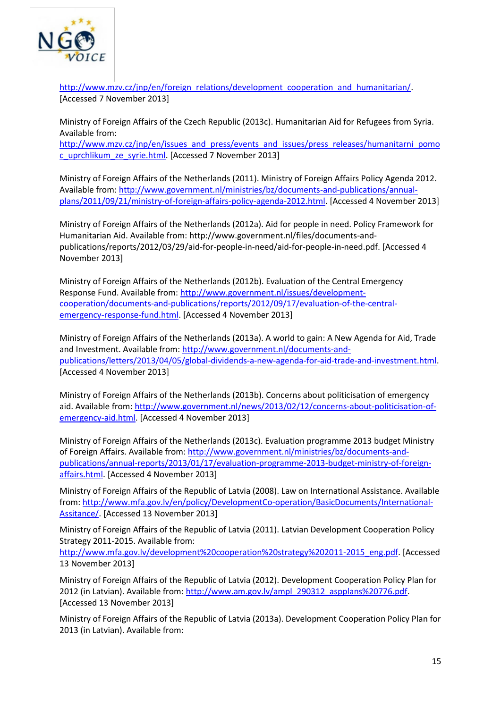

[http://www.mzv.cz/jnp/en/foreign\\_relations/development\\_cooperation\\_and\\_humanitarian/.](http://www.mzv.cz/jnp/en/foreign_relations/development_cooperation_and_humanitarian/) [Accessed 7 November 2013]

Ministry of Foreign Affairs of the Czech Republic (2013c). Humanitarian Aid for Refugees from Syria. Available from:

[http://www.mzv.cz/jnp/en/issues\\_and\\_press/events\\_and\\_issues/press\\_releases/humanitarni\\_pomo](http://www.mzv.cz/jnp/en/issues_and_press/events_and_issues/press_releases/humanitarni_pomoc_uprchlikum_ze_syrie.html) [c\\_uprchlikum\\_ze\\_syrie.html.](http://www.mzv.cz/jnp/en/issues_and_press/events_and_issues/press_releases/humanitarni_pomoc_uprchlikum_ze_syrie.html) [Accessed 7 November 2013]

Ministry of Foreign Affairs of the Netherlands (2011). Ministry of Foreign Affairs Policy Agenda 2012. Available from: [http://www.government.nl/ministries/bz/documents-and-publications/annual](http://www.government.nl/ministries/bz/documents-and-publications/annual-plans/2011/09/21/ministry-of-foreign-affairs-policy-agenda-2012.html)[plans/2011/09/21/ministry-of-foreign-affairs-policy-agenda-2012.html.](http://www.government.nl/ministries/bz/documents-and-publications/annual-plans/2011/09/21/ministry-of-foreign-affairs-policy-agenda-2012.html) [Accessed 4 November 2013]

Ministry of Foreign Affairs of the Netherlands (2012a). Aid for people in need. Policy Framework for Humanitarian Aid. Available from: [http://www.government.nl/files/documents-and](http://www.google.ch/url?q=http://www.government.nl/files/documents-and-publications/reports/2012/03/29/aid-for-people-in-need/aid-for-people-in-need.pdf&ei=YbZ3Uo_0J-Tz0gXi6YGwAQ&sa=X&oi=unauthorizedredirect&ct=targetlink&ust=1383578985657051&usg=AFQjCNFBB8mftq4fzO4vaFPX_KmrblmB6w)[publications/reports/2012/03/29/aid-for-people-in-need/aid-for-people-in-need.pdf.](http://www.google.ch/url?q=http://www.government.nl/files/documents-and-publications/reports/2012/03/29/aid-for-people-in-need/aid-for-people-in-need.pdf&ei=YbZ3Uo_0J-Tz0gXi6YGwAQ&sa=X&oi=unauthorizedredirect&ct=targetlink&ust=1383578985657051&usg=AFQjCNFBB8mftq4fzO4vaFPX_KmrblmB6w) [Accessed 4 November 2013]

Ministry of Foreign Affairs of the Netherlands (2012b). Evaluation of the Central Emergency Response Fund. Available from: [http://www.government.nl/issues/development](http://www.government.nl/issues/development-cooperation/documents-and-publications/reports/2012/09/17/evaluation-of-the-central-emergency-response-fund.html)[cooperation/documents-and-publications/reports/2012/09/17/evaluation-of-the-central](http://www.government.nl/issues/development-cooperation/documents-and-publications/reports/2012/09/17/evaluation-of-the-central-emergency-response-fund.html)[emergency-response-fund.html.](http://www.government.nl/issues/development-cooperation/documents-and-publications/reports/2012/09/17/evaluation-of-the-central-emergency-response-fund.html) [Accessed 4 November 2013]

Ministry of Foreign Affairs of the Netherlands (2013a). A world to gain: A New Agenda for Aid, Trade and Investment. Available from[: http://www.government.nl/documents-and](http://www.government.nl/documents-and-publications/letters/2013/04/05/global-dividends-a-new-agenda-for-aid-trade-and-investment.html)[publications/letters/2013/04/05/global-dividends-a-new-agenda-for-aid-trade-and-investment.html.](http://www.government.nl/documents-and-publications/letters/2013/04/05/global-dividends-a-new-agenda-for-aid-trade-and-investment.html) [Accessed 4 November 2013]

Ministry of Foreign Affairs of the Netherlands (2013b). Concerns about politicisation of emergency aid. Available from: [http://www.government.nl/news/2013/02/12/concerns-about-politicisation-of](http://www.government.nl/news/2013/02/12/concerns-about-politicisation-of-emergency-aid.html)[emergency-aid.html.](http://www.government.nl/news/2013/02/12/concerns-about-politicisation-of-emergency-aid.html) [Accessed 4 November 2013]

Ministry of Foreign Affairs of the Netherlands (2013c). Evaluation programme 2013 budget Ministry of Foreign Affairs. Available from: [http://www.government.nl/ministries/bz/documents-and](http://www.government.nl/ministries/bz/documents-and-publications/annual-reports/2013/01/17/evaluation-programme-2013-budget-ministry-of-foreign-affairs.html)[publications/annual-reports/2013/01/17/evaluation-programme-2013-budget-ministry-of-foreign](http://www.government.nl/ministries/bz/documents-and-publications/annual-reports/2013/01/17/evaluation-programme-2013-budget-ministry-of-foreign-affairs.html)[affairs.html.](http://www.government.nl/ministries/bz/documents-and-publications/annual-reports/2013/01/17/evaluation-programme-2013-budget-ministry-of-foreign-affairs.html) [Accessed 4 November 2013]

Ministry of Foreign Affairs of the Republic of Latvia (2008). Law on International Assistance. Available from: [http://www.mfa.gov.lv/en/policy/DevelopmentCo-operation/BasicDocuments/International-](http://www.mfa.gov.lv/en/policy/DevelopmentCo-operation/BasicDocuments/International-Assitance/)[Assitance/.](http://www.mfa.gov.lv/en/policy/DevelopmentCo-operation/BasicDocuments/International-Assitance/) [Accessed 13 November 2013]

Ministry of Foreign Affairs of the Republic of Latvia (2011). Latvian Development Cooperation Policy Strategy 2011-2015. Available from:

[http://www.mfa.gov.lv/development%20cooperation%20strategy%202011-2015\\_eng.pdf.](http://www.mfa.gov.lv/development%20cooperation%20strategy%202011-2015_eng.pdf) [Accessed 13 November 2013]

Ministry of Foreign Affairs of the Republic of Latvia (2012). Development Cooperation Policy Plan for 2012 (in Latvian). Available from: [http://www.am.gov.lv/ampl\\_290312\\_aspplans%20776.pdf.](http://www.am.gov.lv/ampl_290312_aspplans%20776.pdf) [Accessed 13 November 2013]

Ministry of Foreign Affairs of the Republic of Latvia (2013a). Development Cooperation Policy Plan for 2013 (in Latvian). Available from: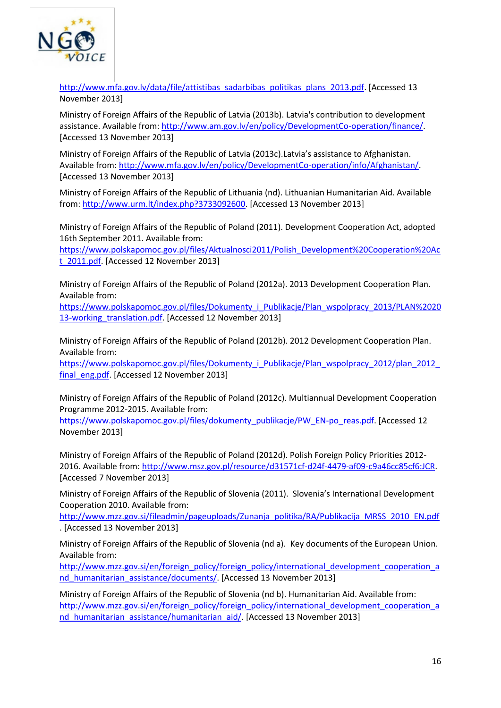

[http://www.mfa.gov.lv/data/file/attistibas\\_sadarbibas\\_politikas\\_plans\\_2013.pdf.](http://www.mfa.gov.lv/data/file/attistibas_sadarbibas_politikas_plans_2013.pdf) [Accessed 13 November 2013]

Ministry of Foreign Affairs of the Republic of Latvia (2013b). Latvia's contribution to development assistance. Available from: [http://www.am.gov.lv/en/policy/DevelopmentCo-operation/finance/.](http://www.am.gov.lv/en/policy/DevelopmentCo-operation/finance/) [Accessed 13 November 2013]

Ministry of Foreign Affairs of the Republic of Latvia (2013c).Latvia's assistance to Afghanistan. Available from: [http://www.mfa.gov.lv/en/policy/DevelopmentCo-operation/info/Afghanistan/.](http://www.mfa.gov.lv/en/policy/DevelopmentCo-operation/info/Afghanistan/) [Accessed 13 November 2013]

Ministry of Foreign Affairs of the Republic of Lithuania (nd). Lithuanian Humanitarian Aid. Available from: [http://www.urm.lt/index.php?3733092600.](http://www.urm.lt/index.php?3733092600) [Accessed 13 November 2013]

Ministry of Foreign Affairs of the Republic of Poland (2011). Development Cooperation Act, adopted 16th September 2011. Available from:

[https://www.polskapomoc.gov.pl/files/Aktualnosci2011/Polish\\_Development%20Cooperation%20Ac](https://www.polskapomoc.gov.pl/files/Aktualnosci2011/Polish_Development%20Cooperation%20Act_2011.pdf) t 2011.pdf. [Accessed 12 November 2013]

Ministry of Foreign Affairs of the Republic of Poland (2012a). 2013 Development Cooperation Plan. Available from:

[https://www.polskapomoc.gov.pl/files/Dokumenty\\_i\\_Publikacje/Plan\\_wspolpracy\\_2013/PLAN%2020](https://www.polskapomoc.gov.pl/files/Dokumenty_i_Publikacje/Plan_wspolpracy_2013/PLAN%202013-working_translation.pdf) 13-working translation.pdf. [Accessed 12 November 2013]

Ministry of Foreign Affairs of the Republic of Poland (2012b). 2012 Development Cooperation Plan. Available from:

https://www.polskapomoc.gov.pl/files/Dokumenty\_i\_Publikacje/Plan\_wspolpracy\_2012/plan\_2012 [final\\_eng.pdf.](https://www.polskapomoc.gov.pl/files/Dokumenty_i_Publikacje/Plan_wspolpracy_2012/plan_2012_final_eng.pdf) [Accessed 12 November 2013]

Ministry of Foreign Affairs of the Republic of Poland (2012c). Multiannual Development Cooperation Programme 2012-2015. Available from:

[https://www.polskapomoc.gov.pl/files/dokumenty\\_publikacje/PW\\_EN-po\\_reas.pdf.](https://www.polskapomoc.gov.pl/files/dokumenty_publikacje/PW_EN-po_reas.pdf) [Accessed 12 November 2013]

Ministry of Foreign Affairs of the Republic of Poland (2012d). Polish Foreign Policy Priorities 2012- 2016. Available from: [http://www.msz.gov.pl/resource/d31571cf-d24f-4479-af09-c9a46cc85cf6:JCR.](http://www.msz.gov.pl/resource/d31571cf-d24f-4479-af09-c9a46cc85cf6:JCR) [Accessed 7 November 2013]

Ministry of Foreign Affairs of the Republic of Slovenia (2011). Slovenia's International Development Cooperation 2010. Available from:

[http://www.mzz.gov.si/fileadmin/pageuploads/Zunanja\\_politika/RA/Publikacija\\_MRSS\\_2010\\_EN.pdf](http://www.mzz.gov.si/fileadmin/pageuploads/Zunanja_politika/RA/Publikacija_MRSS_2010_EN.pdf) . [Accessed 13 November 2013]

Ministry of Foreign Affairs of the Republic of Slovenia (nd a). Key documents of the European Union. Available from:

[http://www.mzz.gov.si/en/foreign\\_policy/foreign\\_policy/international\\_development\\_cooperation\\_a](http://www.mzz.gov.si/en/foreign_policy/foreign_policy/international_development_cooperation_and_humanitarian_assistance/documents/) nd humanitarian assistance/documents/. [Accessed 13 November 2013]

Ministry of Foreign Affairs of the Republic of Slovenia (nd b). Humanitarian Aid. Available from: [http://www.mzz.gov.si/en/foreign\\_policy/foreign\\_policy/international\\_development\\_cooperation\\_a](http://www.mzz.gov.si/en/foreign_policy/foreign_policy/international_development_cooperation_and_humanitarian_assistance/humanitarian_aid/) [nd\\_humanitarian\\_assistance/humanitarian\\_aid/.](http://www.mzz.gov.si/en/foreign_policy/foreign_policy/international_development_cooperation_and_humanitarian_assistance/humanitarian_aid/) [Accessed 13 November 2013]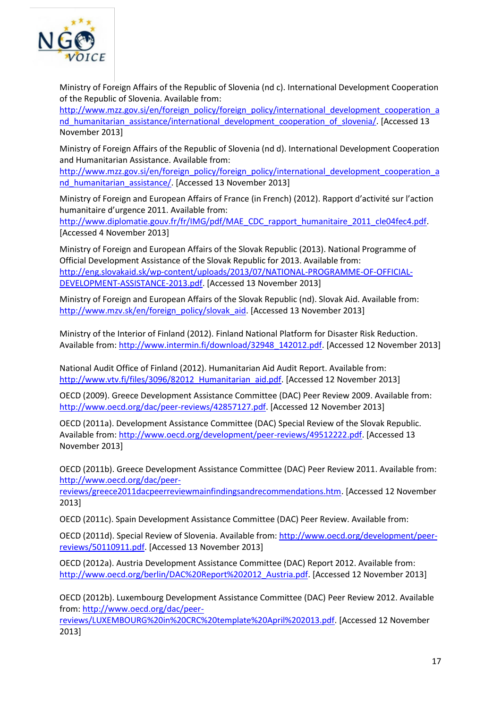

Ministry of Foreign Affairs of the Republic of Slovenia (nd c). International Development Cooperation of the Republic of Slovenia. Available from:

[http://www.mzz.gov.si/en/foreign\\_policy/foreign\\_policy/international\\_development\\_cooperation\\_a](http://www.mzz.gov.si/en/foreign_policy/foreign_policy/international_development_cooperation_and_humanitarian_assistance/international_development_cooperation_of_slovenia/) nd humanitarian\_assistance/international\_development\_cooperation\_of\_slovenia/. [Accessed 13 November 2013]

Ministry of Foreign Affairs of the Republic of Slovenia (nd d). International Development Cooperation and Humanitarian Assistance. Available from:

[http://www.mzz.gov.si/en/foreign\\_policy/foreign\\_policy/international\\_development\\_cooperation\\_a](http://www.mzz.gov.si/en/foreign_policy/foreign_policy/international_development_cooperation_and_humanitarian_assistance/) nd humanitarian\_assistance/. [Accessed 13 November 2013]

Ministry of Foreign and European Affairs of France (in French) (2012). Rapport d'activité sur l'action humanitaire d'urgence 2011. Available from:

[http://www.diplomatie.gouv.fr/fr/IMG/pdf/MAE\\_CDC\\_rapport\\_humanitaire\\_2011\\_cle04fec4.pdf.](http://www.diplomatie.gouv.fr/fr/IMG/pdf/MAE_CDC_rapport_humanitaire_2011_cle04fec4.pdf) [Accessed 4 November 2013]

Ministry of Foreign and European Affairs of the Slovak Republic (2013). National Programme of Official Development Assistance of the Slovak Republic for 2013. Available from: [http://eng.slovakaid.sk/wp-content/uploads/2013/07/NATIONAL-PROGRAMME-OF-OFFICIAL-](http://eng.slovakaid.sk/wp-content/uploads/2013/07/NATIONAL-PROGRAMME-OF-OFFICIAL-DEVELOPMENT-ASSISTANCE-2013.pdf)[DEVELOPMENT-ASSISTANCE-2013.pdf.](http://eng.slovakaid.sk/wp-content/uploads/2013/07/NATIONAL-PROGRAMME-OF-OFFICIAL-DEVELOPMENT-ASSISTANCE-2013.pdf) [Accessed 13 November 2013]

Ministry of Foreign and European Affairs of the Slovak Republic (nd). Slovak Aid. Available from: [http://www.mzv.sk/en/foreign\\_policy/slovak\\_aid.](http://www.mzv.sk/en/foreign_policy/slovak_aid) [Accessed 13 November 2013]

Ministry of the Interior of Finland (2012). Finland National Platform for Disaster Risk Reduction. Available from: [http://www.intermin.fi/download/32948\\_142012.pdf.](http://www.intermin.fi/download/32948_142012.pdf) [Accessed 12 November 2013]

National Audit Office of Finland (2012). Humanitarian Aid Audit Report. Available from: http://www.vtv.fi/files/3096/82012 Humanitarian\_aid.pdf. [Accessed 12 November 2013]

OECD (2009). Greece Development Assistance Committee (DAC) Peer Review 2009. Available from: [http://www.oecd.org/dac/peer-reviews/42857127.pdf.](http://www.oecd.org/dac/peer-reviews/42857127.pdf) [Accessed 12 November 2013]

OECD (2011a). Development Assistance Committee (DAC) Special Review of the Slovak Republic. Available from: [http://www.oecd.org/development/peer-reviews/49512222.pdf.](http://www.oecd.org/development/peer-reviews/49512222.pdf) [Accessed 13 November 2013]

OECD (2011b). Greece Development Assistance Committee (DAC) Peer Review 2011. Available from: [http://www.oecd.org/dac/peer-](http://www.oecd.org/dac/peer-reviews/greece2011dacpeerreviewmainfindingsandrecommendations.htm)

[reviews/greece2011dacpeerreviewmainfindingsandrecommendations.htm.](http://www.oecd.org/dac/peer-reviews/greece2011dacpeerreviewmainfindingsandrecommendations.htm) [Accessed 12 November 2013]

OECD (2011c). Spain Development Assistance Committee (DAC) Peer Review. Available from:

OECD (2011d). Special Review of Slovenia. Available from: [http://www.oecd.org/development/peer](http://www.oecd.org/development/peer-reviews/50110911.pdf)[reviews/50110911.pdf.](http://www.oecd.org/development/peer-reviews/50110911.pdf) [Accessed 13 November 2013]

OECD (2012a). Austria Development Assistance Committee (DAC) Report 2012. Available from: [http://www.oecd.org/berlin/DAC%20Report%202012\\_Austria.pdf.](http://www.oecd.org/berlin/DAC%20Report%202012_Austria.pdf) [Accessed 12 November 2013]

OECD (2012b). Luxembourg Development Assistance Committee (DAC) Peer Review 2012. Available from: [http://www.oecd.org/dac/peer-](http://www.oecd.org/dac/peer-reviews/LUXEMBOURG%20in%20CRC%20template%20April%202013.pdf)

[reviews/LUXEMBOURG%20in%20CRC%20template%20April%202013.pdf.](http://www.oecd.org/dac/peer-reviews/LUXEMBOURG%20in%20CRC%20template%20April%202013.pdf) [Accessed 12 November 2013]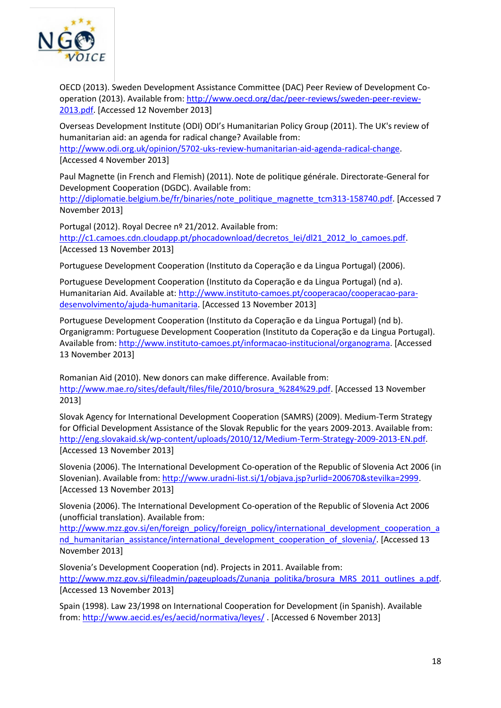

OECD (2013). Sweden Development Assistance Committee (DAC) Peer Review of Development Cooperation (2013). Available from: [http://www.oecd.org/dac/peer-reviews/sweden-peer-review-](http://www.oecd.org/dac/peer-reviews/sweden-peer-review-2013.pdf)[2013.pdf.](http://www.oecd.org/dac/peer-reviews/sweden-peer-review-2013.pdf) [Accessed 12 November 2013]

Overseas Development Institute (ODI) ODI's Humanitarian Policy Group (2011). The UK's review of humanitarian aid: an agenda for radical change? Available from: [http://www.odi.org.uk/opinion/5702-uks-review-humanitarian-aid-agenda-radical-change.](http://www.odi.org.uk/opinion/5702-uks-review-humanitarian-aid-agenda-radical-change) [Accessed 4 November 2013]

Paul Magnette (in French and Flemish) (2011). Note de politique générale. Directorate-General for Development Cooperation (DGDC). Available from:

[http://diplomatie.belgium.be/fr/binaries/note\\_politique\\_magnette\\_tcm313-158740.pdf.](http://diplomatie.belgium.be/fr/binaries/note_politique_magnette_tcm313-158740.pdf) [Accessed 7 November 2013]

Portugal (2012). Royal Decree nº 21/2012. Available from: [http://c1.camoes.cdn.cloudapp.pt/phocadownload/decretos\\_lei/dl21\\_2012\\_lo\\_camoes.pdf.](http://c1.camoes.cdn.cloudapp.pt/phocadownload/decretos_lei/dl21_2012_lo_camoes.pdf) [Accessed 13 November 2013]

Portuguese Development Cooperation (Instituto da Coperação e da Lingua Portugal) (2006).

Portuguese Development Cooperation (Instituto da Coperação e da Lingua Portugal) (nd a). Humanitarian Aid. Available at: [http://www.instituto-camoes.pt/cooperacao/cooperacao-para](http://www.instituto-camoes.pt/cooperacao/cooperacao-para-desenvolvimento/ajuda-humanitaria)[desenvolvimento/ajuda-humanitaria.](http://www.instituto-camoes.pt/cooperacao/cooperacao-para-desenvolvimento/ajuda-humanitaria) [Accessed 13 November 2013]

Portuguese Development Cooperation (Instituto da Coperação e da Lingua Portugal) (nd b). Organigramm: Portuguese Development Cooperation (Instituto da Coperação e da Lingua Portugal). Available from: [http://www.instituto-camoes.pt/informacao-institucional/organograma.](http://www.instituto-camoes.pt/informacao-institucional/organograma) [Accessed 13 November 2013]

Romanian Aid (2010). New donors can make difference. Available from: http://www.mae.ro/sites/default/files/file/2010/brosura %284%29.pdf. [Accessed 13 November 2013]

Slovak Agency for International Development Cooperation (SAMRS) (2009). Medium-Term Strategy for Official Development Assistance of the Slovak Republic for the years 2009-2013. Available from: [http://eng.slovakaid.sk/wp-content/uploads/2010/12/Medium-Term-Strategy-2009-2013-EN.pdf.](http://eng.slovakaid.sk/wp-content/uploads/2010/12/Medium-Term-Strategy-2009-2013-EN.pdf) [Accessed 13 November 2013]

Slovenia (2006). The International Development Co-operation of the Republic of Slovenia Act 2006 (in Slovenian). Available from: [http://www.uradni-list.si/1/objava.jsp?urlid=200670&stevilka=2999.](http://www.uradni-list.si/1/objava.jsp?urlid=200670&stevilka=2999) [Accessed 13 November 2013]

Slovenia (2006). The International Development Co-operation of the Republic of Slovenia Act 2006 (unofficial translation). Available from:

[http://www.mzz.gov.si/en/foreign\\_policy/foreign\\_policy/international\\_development\\_cooperation\\_a](http://www.mzz.gov.si/en/foreign_policy/foreign_policy/international_development_cooperation_and_humanitarian_assistance/international_development_cooperation_of_slovenia/) nd humanitarian assistance/international development cooperation of slovenia/. [Accessed 13 November 2013]

Slovenia's Development Cooperation (nd). Projects in 2011. Available from: [http://www.mzz.gov.si/fileadmin/pageuploads/Zunanja\\_politika/brosura\\_MRS\\_2011\\_outlines\\_a.pdf.](http://www.mzz.gov.si/fileadmin/pageuploads/Zunanja_politika/brosura_MRS_2011_outlines_a.pdf) [Accessed 13 November 2013]

Spain (1998). Law 23/1998 on International Cooperation for Development (in Spanish). Available from:<http://www.aecid.es/es/aecid/normativa/leyes/> . [Accessed 6 November 2013]